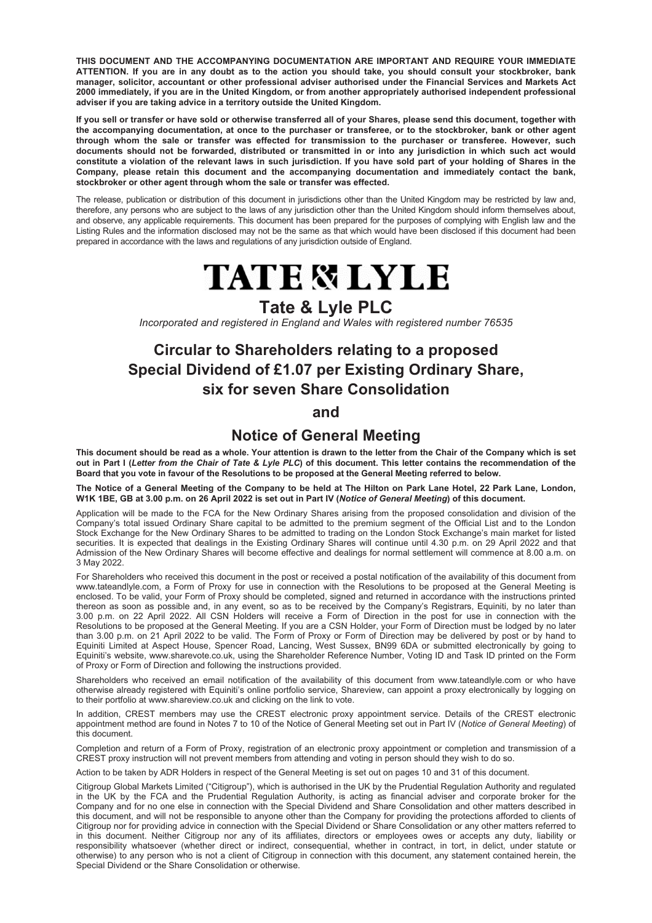**THIS DOCUMENT AND THE ACCOMPANYING DOCUMENTATION ARE IMPORTANT AND REQUIRE YOUR IMMEDIATE ATTENTION. If you are in any doubt as to the action you should take, you should consult your stockbroker, bank manager, solicitor, accountant or other professional adviser authorised under the Financial Services and Markets Act 2000 immediately, if you are in the United Kingdom, or from another appropriately authorised independent professional adviser if you are taking advice in a territory outside the United Kingdom.**

**If you sell or transfer or have sold or otherwise transferred all of your Shares, please send this document, together with the accompanying documentation, at once to the purchaser or transferee, or to the stockbroker, bank or other agent through whom the sale or transfer was effected for transmission to the purchaser or transferee. However, such documents should not be forwarded, distributed or transmitted in or into any jurisdiction in which such act would constitute a violation of the relevant laws in such jurisdiction. If you have sold part of your holding of Shares in the Company, please retain this document and the accompanying documentation and immediately contact the bank, stockbroker or other agent through whom the sale or transfer was effected.**

The release, publication or distribution of this document in jurisdictions other than the United Kingdom may be restricted by law and, therefore, any persons who are subject to the laws of any jurisdiction other than the United Kingdom should inform themselves about, and observe, any applicable requirements. This document has been prepared for the purposes of complying with English law and the Listing Rules and the information disclosed may not be the same as that which would have been disclosed if this document had been prepared in accordance with the laws and regulations of any jurisdiction outside of England.

# **TATE & LYLE**

# **Tate & Lyle PLC**

*Incorporated and registered in England and Wales with registered number 76535*

# **Circular to Shareholders relating to a proposed Special Dividend of £1.07 per Existing Ordinary Share, six for seven Share Consolidation**

## **and**

## **Notice of General Meeting**

**This document should be read as a whole. Your attention is drawn to the letter from the Chair of the Company which is set out in Part I (***Letter from the Chair of Tate & Lyle PLC***) of this document. This letter contains the recommendation of the Board that you vote in favour of the Resolutions to be proposed at the General Meeting referred to below.**

**The Notice of a General Meeting of the Company to be held at The Hilton on Park Lane Hotel, 22 Park Lane, London, W1K 1BE, GB at 3.00 p.m. on 26 April 2022 is set out in Part IV (***Notice of General Meeting***) of this document.**

Application will be made to the FCA for the New Ordinary Shares arising from the proposed consolidation and division of the Company's total issued Ordinary Share capital to be admitted to the premium segment of the Official List and to the London Stock Exchange for the New Ordinary Shares to be admitted to trading on the London Stock Exchange's main market for listed securities. It is expected that dealings in the Existing Ordinary Shares will continue until 4.30 p.m. on 29 April 2022 and that Admission of the New Ordinary Shares will become effective and dealings for normal settlement will commence at 8.00 a.m. on 3 May 2022.

For Shareholders who received this document in the post or received a postal notification of the availability of this document from www.tateandlyle.com, a Form of Proxy for use in connection with the Resolutions to be proposed at the General Meeting is enclosed. To be valid, your Form of Proxy should be completed, signed and returned in accordance with the instructions printed thereon as soon as possible and, in any event, so as to be received by the Company's Registrars, Equiniti, by no later than 3.00 p.m. on 22 April 2022. All CSN Holders will receive a Form of Direction in the post for use in connection with the Resolutions to be proposed at the General Meeting. If you are a CSN Holder, your Form of Direction must be lodged by no later than 3.00 p.m. on 21 April 2022 to be valid. The Form of Proxy or Form of Direction may be delivered by post or by hand to Equiniti Limited at Aspect House, Spencer Road, Lancing, West Sussex, BN99 6DA or submitted electronically by going to Equiniti's website, www.sharevote.co.uk, using the Shareholder Reference Number, Voting ID and Task ID printed on the Form of Proxy or Form of Direction and following the instructions provided.

Shareholders who received an email notification of the availability of this document from www.tateandlyle.com or who have otherwise already registered with Equiniti's online portfolio service, Shareview, can appoint a proxy electronically by logging on to their portfolio at www.shareview.co.uk and clicking on the link to vote.

In addition, CREST members may use the CREST electronic proxy appointment service. Details of the CREST electronic appointment method are found in Notes 7 to 10 of the Notice of General Meeting set out in Part IV (*Notice of General Meeting*) of this document.

Completion and return of a Form of Proxy, registration of an electronic proxy appointment or completion and transmission of a CREST proxy instruction will not prevent members from attending and voting in person should they wish to do so.

Action to be taken by ADR Holders in respect of the General Meeting is set out on pages 10 and 31 of this document.

Citigroup Global Markets Limited ("Citigroup"), which is authorised in the UK by the Prudential Regulation Authority and regulated in the UK by the FCA and the Prudential Regulation Authority, is acting as financial adviser and corporate broker for the Company and for no one else in connection with the Special Dividend and Share Consolidation and other matters described in this document, and will not be responsible to anyone other than the Company for providing the protections afforded to clients of Citigroup nor for providing advice in connection with the Special Dividend or Share Consolidation or any other matters referred to in this document. Neither Citigroup nor any of its affiliates, directors or employees owes or accepts any duty, liability or responsibility whatsoever (whether direct or indirect, consequential, whether in contract, in tort, in delict, under statute or otherwise) to any person who is not a client of Citigroup in connection with this document, any statement contained herein, the Special Dividend or the Share Consolidation or otherwise.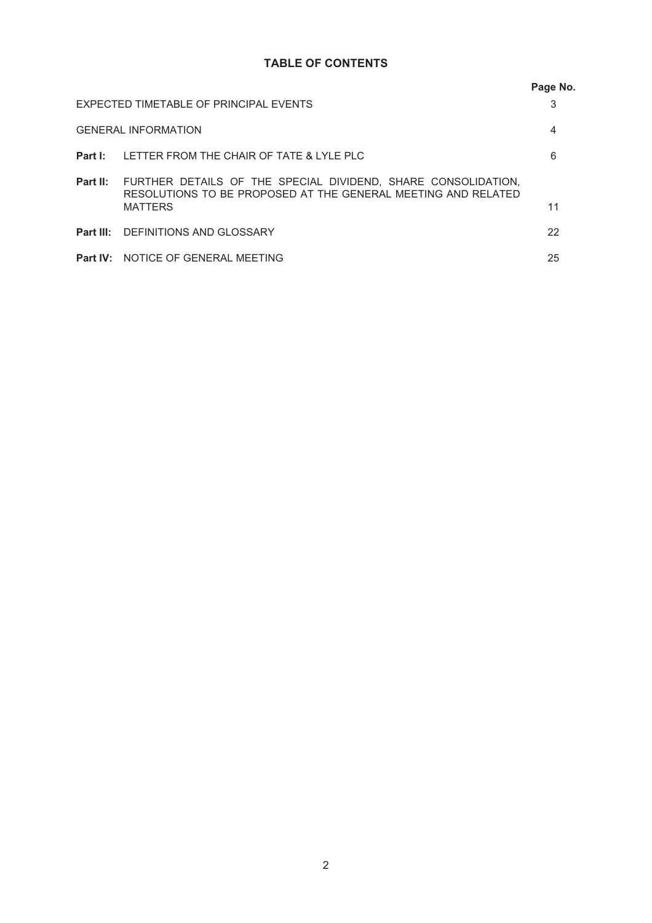## **TABLE OF CONTENTS**

|                                        |                                                                                                                                                                  | Page No. |
|----------------------------------------|------------------------------------------------------------------------------------------------------------------------------------------------------------------|----------|
| EXPECTED TIMETABLE OF PRINCIPAL EVENTS |                                                                                                                                                                  | 3        |
| <b>GENERAL INFORMATION</b>             |                                                                                                                                                                  | 4        |
|                                        | <b>Part I:</b> LETTER FROM THE CHAIR OF TATE & LYLE PLC                                                                                                          | 6        |
|                                        | <b>Part II:</b> FURTHER DETAILS OF THE SPECIAL DIVIDEND, SHARE CONSOLIDATION,<br>RESOLUTIONS TO BE PROPOSED AT THE GENERAL MEETING AND RELATED<br><b>MATTERS</b> | 11       |
|                                        | <b>Part III: DEFINITIONS AND GLOSSARY</b>                                                                                                                        | 22       |
|                                        | <b>Part IV: NOTICE OF GENERAL MEETING</b>                                                                                                                        | 25       |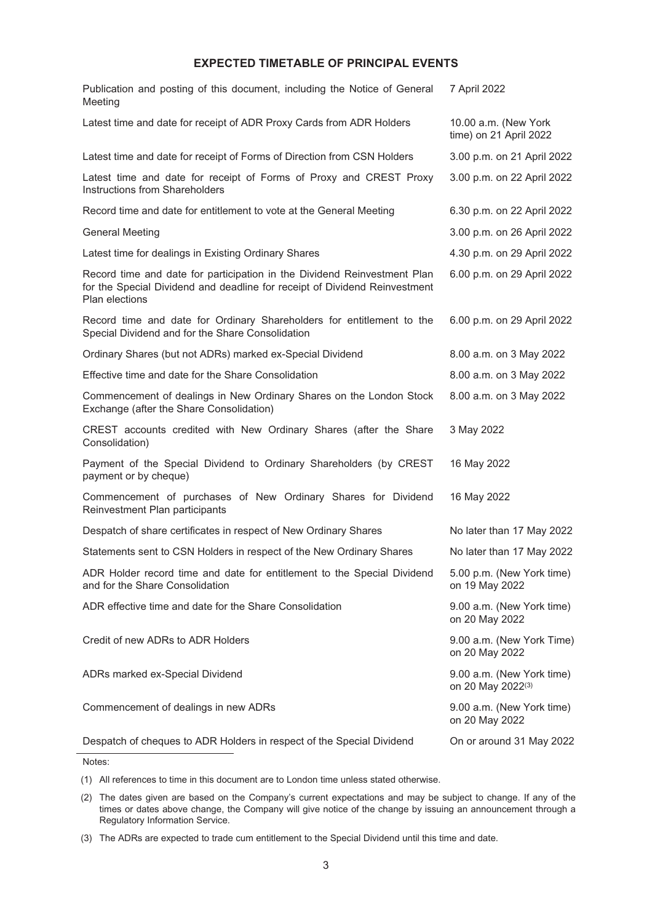## **EXPECTED TIMETABLE OF PRINCIPAL EVENTS**

<span id="page-2-0"></span>

| Publication and posting of this document, including the Notice of General<br>Meeting                                                                                     | 7 April 2022                                   |
|--------------------------------------------------------------------------------------------------------------------------------------------------------------------------|------------------------------------------------|
| Latest time and date for receipt of ADR Proxy Cards from ADR Holders                                                                                                     | 10.00 a.m. (New York<br>time) on 21 April 2022 |
| Latest time and date for receipt of Forms of Direction from CSN Holders                                                                                                  | 3.00 p.m. on 21 April 2022                     |
| Latest time and date for receipt of Forms of Proxy and CREST Proxy<br>Instructions from Shareholders                                                                     | 3.00 p.m. on 22 April 2022                     |
| Record time and date for entitlement to vote at the General Meeting                                                                                                      | 6.30 p.m. on 22 April 2022                     |
| <b>General Meeting</b>                                                                                                                                                   | 3.00 p.m. on 26 April 2022                     |
| Latest time for dealings in Existing Ordinary Shares                                                                                                                     | 4.30 p.m. on 29 April 2022                     |
| Record time and date for participation in the Dividend Reinvestment Plan<br>for the Special Dividend and deadline for receipt of Dividend Reinvestment<br>Plan elections | 6.00 p.m. on 29 April 2022                     |
| Record time and date for Ordinary Shareholders for entitlement to the<br>Special Dividend and for the Share Consolidation                                                | 6.00 p.m. on 29 April 2022                     |
| Ordinary Shares (but not ADRs) marked ex-Special Dividend                                                                                                                | 8.00 a.m. on 3 May 2022                        |
| Effective time and date for the Share Consolidation                                                                                                                      | 8.00 a.m. on 3 May 2022                        |
| Commencement of dealings in New Ordinary Shares on the London Stock<br>Exchange (after the Share Consolidation)                                                          | 8.00 a.m. on 3 May 2022                        |
| CREST accounts credited with New Ordinary Shares (after the Share<br>Consolidation)                                                                                      | 3 May 2022                                     |
| Payment of the Special Dividend to Ordinary Shareholders (by CREST<br>payment or by cheque)                                                                              | 16 May 2022                                    |
| Commencement of purchases of New Ordinary Shares for Dividend<br>Reinvestment Plan participants                                                                          | 16 May 2022                                    |
| Despatch of share certificates in respect of New Ordinary Shares                                                                                                         | No later than 17 May 2022                      |
| Statements sent to CSN Holders in respect of the New Ordinary Shares                                                                                                     | No later than 17 May 2022                      |
| ADR Holder record time and date for entitlement to the Special Dividend<br>and for the Share Consolidation                                                               | 5.00 p.m. (New York time)<br>on 19 May 2022    |
| ADR effective time and date for the Share Consolidation                                                                                                                  | 9.00 a.m. (New York time)<br>on 20 May 2022    |
| Credit of new ADRs to ADR Holders                                                                                                                                        | 9.00 a.m. (New York Time)<br>on 20 May 2022    |
| ADRs marked ex-Special Dividend                                                                                                                                          | 9.00 a.m. (New York time)<br>on 20 May 2022(3) |
| Commencement of dealings in new ADRs                                                                                                                                     | 9.00 a.m. (New York time)<br>on 20 May 2022    |
| Despatch of cheques to ADR Holders in respect of the Special Dividend                                                                                                    | On or around 31 May 2022                       |

Notes:

(1) All references to time in this document are to London time unless stated otherwise.

<sup>(2)</sup> The dates given are based on the Company's current expectations and may be subject to change. If any of the times or dates above change, the Company will give notice of the change by issuing an announcement through a Regulatory Information Service.

<sup>(3)</sup> The ADRs are expected to trade cum entitlement to the Special Dividend until this time and date.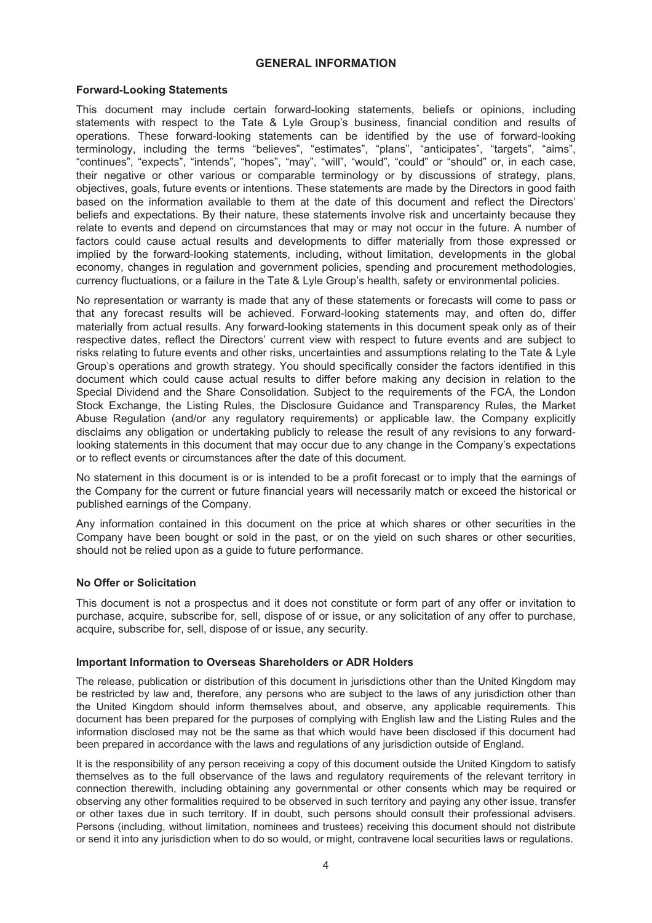#### **GENERAL INFORMATION**

#### <span id="page-3-0"></span>**Forward-Looking Statements**

This document may include certain forward-looking statements, beliefs or opinions, including statements with respect to the Tate & Lyle Group's business, financial condition and results of operations. These forward-looking statements can be identified by the use of forward-looking terminology, including the terms "believes", "estimates", "plans", "anticipates", "targets", "aims", "continues", "expects", "intends", "hopes", "may", "will", "would", "could" or "should" or, in each case, their negative or other various or comparable terminology or by discussions of strategy, plans, objectives, goals, future events or intentions. These statements are made by the Directors in good faith based on the information available to them at the date of this document and reflect the Directors' beliefs and expectations. By their nature, these statements involve risk and uncertainty because they relate to events and depend on circumstances that may or may not occur in the future. A number of factors could cause actual results and developments to differ materially from those expressed or implied by the forward-looking statements, including, without limitation, developments in the global economy, changes in regulation and government policies, spending and procurement methodologies, currency fluctuations, or a failure in the Tate & Lyle Group's health, safety or environmental policies.

No representation or warranty is made that any of these statements or forecasts will come to pass or that any forecast results will be achieved. Forward-looking statements may, and often do, differ materially from actual results. Any forward-looking statements in this document speak only as of their respective dates, reflect the Directors' current view with respect to future events and are subject to risks relating to future events and other risks, uncertainties and assumptions relating to the Tate & Lyle Group's operations and growth strategy. You should specifically consider the factors identified in this document which could cause actual results to differ before making any decision in relation to the Special Dividend and the Share Consolidation. Subject to the requirements of the FCA, the London Stock Exchange, the Listing Rules, the Disclosure Guidance and Transparency Rules, the Market Abuse Regulation (and/or any regulatory requirements) or applicable law, the Company explicitly disclaims any obligation or undertaking publicly to release the result of any revisions to any forwardlooking statements in this document that may occur due to any change in the Company's expectations or to reflect events or circumstances after the date of this document.

No statement in this document is or is intended to be a profit forecast or to imply that the earnings of the Company for the current or future financial years will necessarily match or exceed the historical or published earnings of the Company.

Any information contained in this document on the price at which shares or other securities in the Company have been bought or sold in the past, or on the yield on such shares or other securities, should not be relied upon as a guide to future performance.

#### **No Offer or Solicitation**

This document is not a prospectus and it does not constitute or form part of any offer or invitation to purchase, acquire, subscribe for, sell, dispose of or issue, or any solicitation of any offer to purchase, acquire, subscribe for, sell, dispose of or issue, any security.

#### **Important Information to Overseas Shareholders or ADR Holders**

The release, publication or distribution of this document in jurisdictions other than the United Kingdom may be restricted by law and, therefore, any persons who are subject to the laws of any jurisdiction other than the United Kingdom should inform themselves about, and observe, any applicable requirements. This document has been prepared for the purposes of complying with English law and the Listing Rules and the information disclosed may not be the same as that which would have been disclosed if this document had been prepared in accordance with the laws and regulations of any jurisdiction outside of England.

It is the responsibility of any person receiving a copy of this document outside the United Kingdom to satisfy themselves as to the full observance of the laws and regulatory requirements of the relevant territory in connection therewith, including obtaining any governmental or other consents which may be required or observing any other formalities required to be observed in such territory and paying any other issue, transfer or other taxes due in such territory. If in doubt, such persons should consult their professional advisers. Persons (including, without limitation, nominees and trustees) receiving this document should not distribute or send it into any jurisdiction when to do so would, or might, contravene local securities laws or regulations.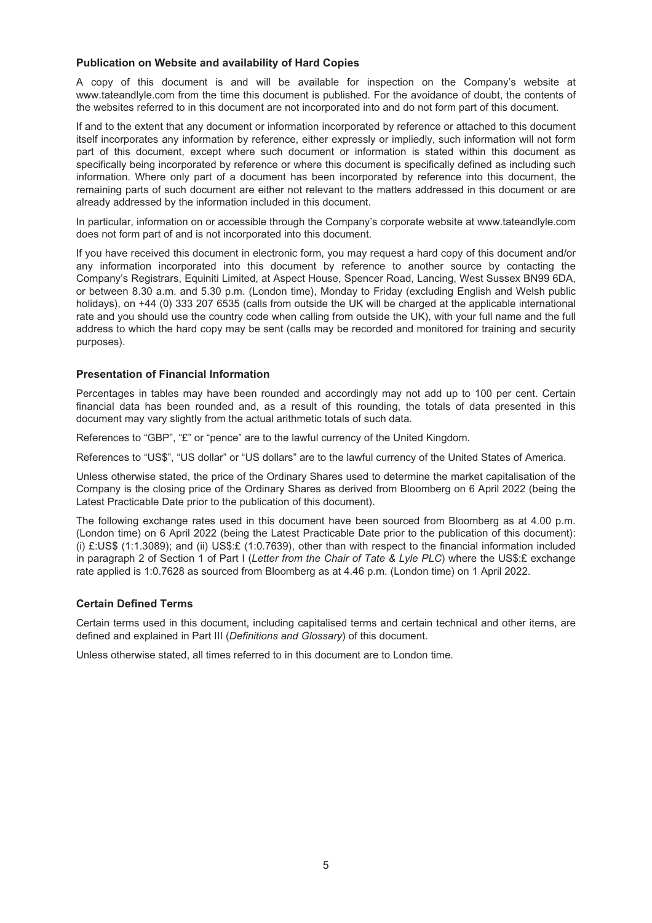#### **Publication on Website and availability of Hard Copies**

A copy of this document is and will be available for inspection on the Company's website at www.tateandlyle.com from the time this document is published. For the avoidance of doubt, the contents of the websites referred to in this document are not incorporated into and do not form part of this document.

If and to the extent that any document or information incorporated by reference or attached to this document itself incorporates any information by reference, either expressly or impliedly, such information will not form part of this document, except where such document or information is stated within this document as specifically being incorporated by reference or where this document is specifically defined as including such information. Where only part of a document has been incorporated by reference into this document, the remaining parts of such document are either not relevant to the matters addressed in this document or are already addressed by the information included in this document.

In particular, information on or accessible through the Company's corporate website at www.tateandlyle.com does not form part of and is not incorporated into this document.

If you have received this document in electronic form, you may request a hard copy of this document and/or any information incorporated into this document by reference to another source by contacting the Company's Registrars, Equiniti Limited, at Aspect House, Spencer Road, Lancing, West Sussex BN99 6DA, or between 8.30 a.m. and 5.30 p.m. (London time), Monday to Friday (excluding English and Welsh public holidays), on +44 (0) 333 207 6535 (calls from outside the UK will be charged at the applicable international rate and you should use the country code when calling from outside the UK), with your full name and the full address to which the hard copy may be sent (calls may be recorded and monitored for training and security purposes).

### **Presentation of Financial Information**

Percentages in tables may have been rounded and accordingly may not add up to 100 per cent. Certain financial data has been rounded and, as a result of this rounding, the totals of data presented in this document may vary slightly from the actual arithmetic totals of such data.

References to "GBP", "£" or "pence" are to the lawful currency of the United Kingdom.

References to "US\$", "US dollar" or "US dollars" are to the lawful currency of the United States of America.

Unless otherwise stated, the price of the Ordinary Shares used to determine the market capitalisation of the Company is the closing price of the Ordinary Shares as derived from Bloomberg on 6 April 2022 (being the Latest Practicable Date prior to the publication of this document).

The following exchange rates used in this document have been sourced from Bloomberg as at 4.00 p.m. (London time) on 6 April 2022 (being the Latest Practicable Date prior to the publication of this document): (i) £:US\$ (1:1.3089); and (ii) US\$:£ (1:0.7639), other than with respect to the financial information included in paragraph 2 of Section 1 of Part I (*Letter from the Chair of Tate & Lyle PLC*) where the US\$:£ exchange rate applied is 1:0.7628 as sourced from Bloomberg as at 4.46 p.m. (London time) on 1 April 2022.

## **Certain Defined Terms**

Certain terms used in this document, including capitalised terms and certain technical and other items, are defined and explained in Part III (*Definitions and Glossary*) of this document.

Unless otherwise stated, all times referred to in this document are to London time.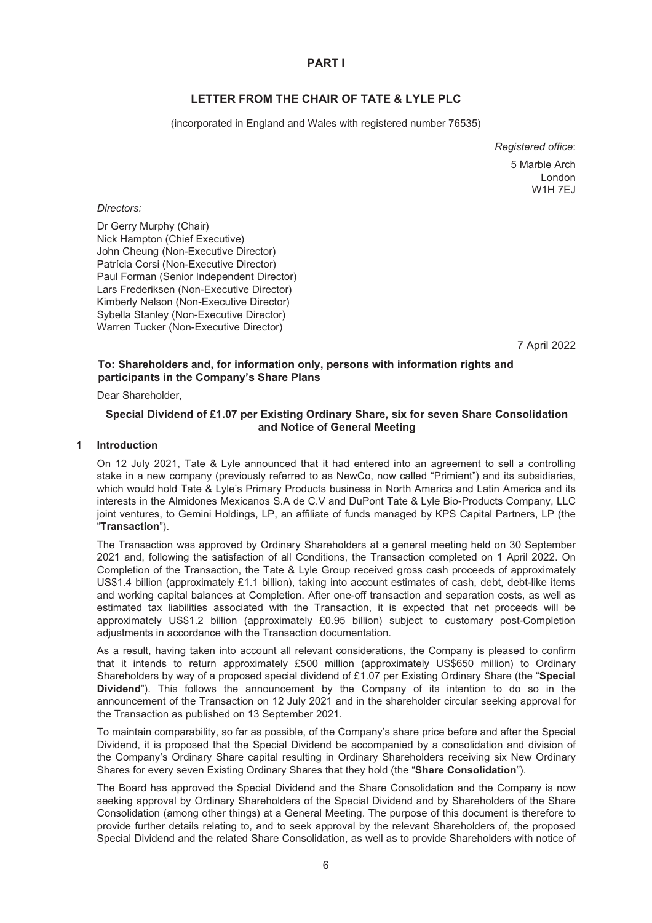## **PART I**

## **LETTER FROM THE CHAIR OF TATE & LYLE PLC**

<span id="page-5-0"></span>(incorporated in England and Wales with registered number 76535)

*Registered office*: 5 Marble Arch London W1H 7EJ

#### *Directors:*

Dr Gerry Murphy (Chair) Nick Hampton (Chief Executive) John Cheung (Non-Executive Director) Patrícia Corsi (Non-Executive Director) Paul Forman (Senior Independent Director) Lars Frederiksen (Non-Executive Director) Kimberly Nelson (Non-Executive Director) Sybella Stanley (Non-Executive Director) Warren Tucker (Non-Executive Director)

7 April 2022

## **To: Shareholders and, for information only, persons with information rights and participants in the Company's Share Plans**

Dear Shareholder,

## **Special Dividend of £1.07 per Existing Ordinary Share, six for seven Share Consolidation and Notice of General Meeting**

#### **1 Introduction**

On 12 July 2021, Tate & Lyle announced that it had entered into an agreement to sell a controlling stake in a new company (previously referred to as NewCo, now called "Primient") and its subsidiaries, which would hold Tate & Lyle's Primary Products business in North America and Latin America and its interests in the Almidones Mexicanos S.A de C.V and DuPont Tate & Lyle Bio-Products Company, LLC joint ventures, to Gemini Holdings, LP, an affiliate of funds managed by KPS Capital Partners, LP (the "**Transaction**").

The Transaction was approved by Ordinary Shareholders at a general meeting held on 30 September 2021 and, following the satisfaction of all Conditions, the Transaction completed on 1 April 2022. On Completion of the Transaction, the Tate & Lyle Group received gross cash proceeds of approximately US\$1.4 billion (approximately £1.1 billion), taking into account estimates of cash, debt, debt-like items and working capital balances at Completion. After one-off transaction and separation costs, as well as estimated tax liabilities associated with the Transaction, it is expected that net proceeds will be approximately US\$1.2 billion (approximately £0.95 billion) subject to customary post-Completion adjustments in accordance with the Transaction documentation.

As a result, having taken into account all relevant considerations, the Company is pleased to confirm that it intends to return approximately £500 million (approximately US\$650 million) to Ordinary Shareholders by way of a proposed special dividend of £1.07 per Existing Ordinary Share (the "**Special Dividend**"). This follows the announcement by the Company of its intention to do so in the announcement of the Transaction on 12 July 2021 and in the shareholder circular seeking approval for the Transaction as published on 13 September 2021.

To maintain comparability, so far as possible, of the Company's share price before and after the Special Dividend, it is proposed that the Special Dividend be accompanied by a consolidation and division of the Company's Ordinary Share capital resulting in Ordinary Shareholders receiving six New Ordinary Shares for every seven Existing Ordinary Shares that they hold (the "**Share Consolidation**").

The Board has approved the Special Dividend and the Share Consolidation and the Company is now seeking approval by Ordinary Shareholders of the Special Dividend and by Shareholders of the Share Consolidation (among other things) at a General Meeting. The purpose of this document is therefore to provide further details relating to, and to seek approval by the relevant Shareholders of, the proposed Special Dividend and the related Share Consolidation, as well as to provide Shareholders with notice of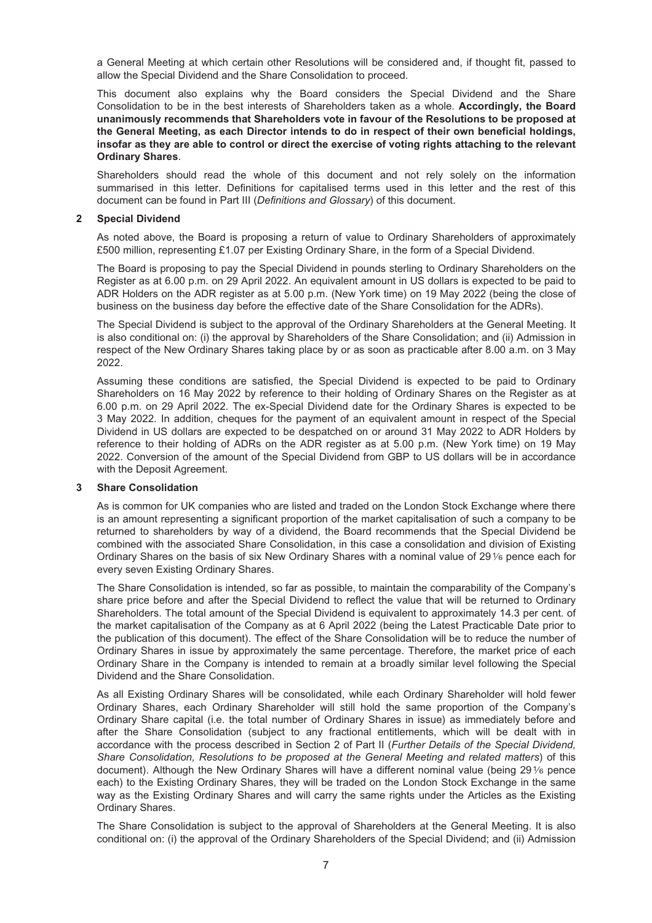a General Meeting at which certain other Resolutions will be considered and, if thought fit, passed to allow the Special Dividend and the Share Consolidation to proceed.

This document also explains why the Board considers the Special Dividend and the Share Consolidation to be in the best interests of Shareholders taken as a whole. **Accordingly, the Board unanimously recommends that Shareholders vote in favour of the Resolutions to be proposed at the General Meeting, as each Director intends to do in respect of their own beneficial holdings, insofar as they are able to control or direct the exercise of voting rights attaching to the relevant Ordinary Shares**.

Shareholders should read the whole of this document and not rely solely on the information summarised in this letter. Definitions for capitalised terms used in this letter and the rest of this document can be found in Part III (*Definitions and Glossary*) of this document.

#### **2 Special Dividend**

As noted above, the Board is proposing a return of value to Ordinary Shareholders of approximately £500 million, representing £1.07 per Existing Ordinary Share, in the form of a Special Dividend.

The Board is proposing to pay the Special Dividend in pounds sterling to Ordinary Shareholders on the Register as at 6.00 p.m. on 29 April 2022. An equivalent amount in US dollars is expected to be paid to ADR Holders on the ADR register as at 5.00 p.m. (New York time) on 19 May 2022 (being the close of business on the business day before the effective date of the Share Consolidation for the ADRs).

The Special Dividend is subject to the approval of the Ordinary Shareholders at the General Meeting. It is also conditional on: (i) the approval by Shareholders of the Share Consolidation; and (ii) Admission in respect of the New Ordinary Shares taking place by or as soon as practicable after 8.00 a.m. on 3 May 2022.

Assuming these conditions are satisfied, the Special Dividend is expected to be paid to Ordinary Shareholders on 16 May 2022 by reference to their holding of Ordinary Shares on the Register as at 6.00 p.m. on 29 April 2022. The ex-Special Dividend date for the Ordinary Shares is expected to be 3 May 2022. In addition, cheques for the payment of an equivalent amount in respect of the Special Dividend in US dollars are expected to be despatched on or around 31 May 2022 to ADR Holders by reference to their holding of ADRs on the ADR register as at 5.00 p.m. (New York time) on 19 May 2022. Conversion of the amount of the Special Dividend from GBP to US dollars will be in accordance with the Deposit Agreement.

#### **3 Share Consolidation**

As is common for UK companies who are listed and traded on the London Stock Exchange where there is an amount representing a significant proportion of the market capitalisation of such a company to be returned to shareholders by way of a dividend, the Board recommends that the Special Dividend be combined with the associated Share Consolidation, in this case a consolidation and division of Existing Ordinary Shares on the basis of six New Ordinary Shares with a nominal value of 29% pence each for every seven Existing Ordinary Shares.

The Share Consolidation is intended, so far as possible, to maintain the comparability of the Company's share price before and after the Special Dividend to reflect the value that will be returned to Ordinary Shareholders. The total amount of the Special Dividend is equivalent to approximately 14.3 per cent. of the market capitalisation of the Company as at 6 April 2022 (being the Latest Practicable Date prior to the publication of this document). The effect of the Share Consolidation will be to reduce the number of Ordinary Shares in issue by approximately the same percentage. Therefore, the market price of each Ordinary Share in the Company is intended to remain at a broadly similar level following the Special Dividend and the Share Consolidation.

As all Existing Ordinary Shares will be consolidated, while each Ordinary Shareholder will hold fewer Ordinary Shares, each Ordinary Shareholder will still hold the same proportion of the Company's Ordinary Share capital (i.e. the total number of Ordinary Shares in issue) as immediately before and after the Share Consolidation (subject to any fractional entitlements, which will be dealt with in accordance with the process described in Section 2 of Part II (*Further Details of the Special Dividend, Share Consolidation, Resolutions to be proposed at the General Meeting and related matters*) of this document). Although the New Ordinary Shares will have a different nominal value (being 291⁄6 pence each) to the Existing Ordinary Shares, they will be traded on the London Stock Exchange in the same way as the Existing Ordinary Shares and will carry the same rights under the Articles as the Existing Ordinary Shares.

The Share Consolidation is subject to the approval of Shareholders at the General Meeting. It is also conditional on: (i) the approval of the Ordinary Shareholders of the Special Dividend; and (ii) Admission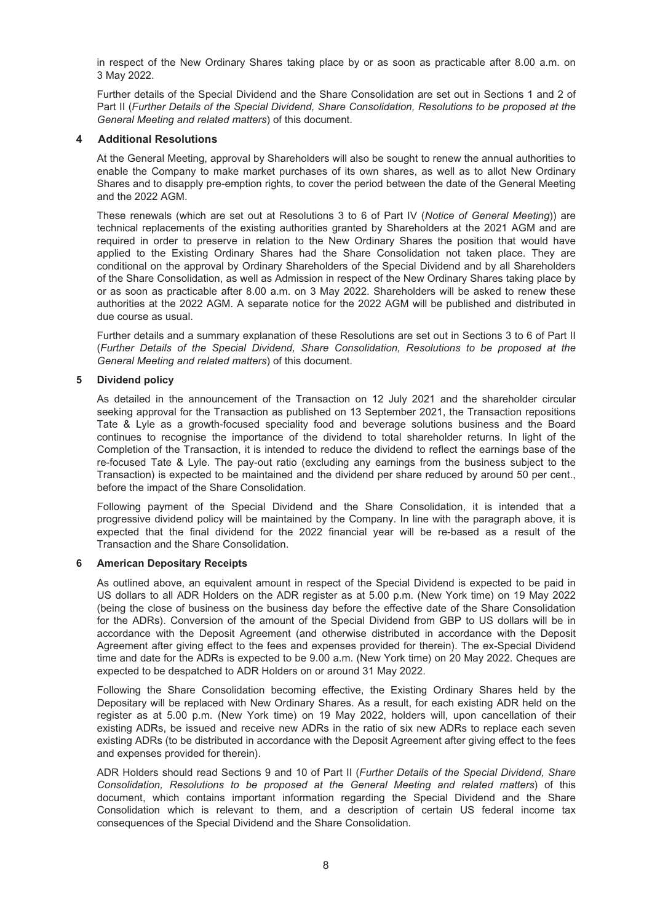in respect of the New Ordinary Shares taking place by or as soon as practicable after 8.00 a.m. on 3 May 2022.

Further details of the Special Dividend and the Share Consolidation are set out in Sections 1 and 2 of Part II (*Further Details of the Special Dividend, Share Consolidation, Resolutions to be proposed at the General Meeting and related matters*) of this document.

#### **4 Additional Resolutions**

At the General Meeting, approval by Shareholders will also be sought to renew the annual authorities to enable the Company to make market purchases of its own shares, as well as to allot New Ordinary Shares and to disapply pre-emption rights, to cover the period between the date of the General Meeting and the 2022 AGM.

These renewals (which are set out at Resolutions 3 to 6 of Part IV (*Notice of General Meeting*)) are technical replacements of the existing authorities granted by Shareholders at the 2021 AGM and are required in order to preserve in relation to the New Ordinary Shares the position that would have applied to the Existing Ordinary Shares had the Share Consolidation not taken place. They are conditional on the approval by Ordinary Shareholders of the Special Dividend and by all Shareholders of the Share Consolidation, as well as Admission in respect of the New Ordinary Shares taking place by or as soon as practicable after 8.00 a.m. on 3 May 2022. Shareholders will be asked to renew these authorities at the 2022 AGM. A separate notice for the 2022 AGM will be published and distributed in due course as usual.

Further details and a summary explanation of these Resolutions are set out in Sections 3 to 6 of Part II (*Further Details of the Special Dividend, Share Consolidation, Resolutions to be proposed at the General Meeting and related matters*) of this document.

#### **5 Dividend policy**

As detailed in the announcement of the Transaction on 12 July 2021 and the shareholder circular seeking approval for the Transaction as published on 13 September 2021, the Transaction repositions Tate & Lyle as a growth-focused speciality food and beverage solutions business and the Board continues to recognise the importance of the dividend to total shareholder returns. In light of the Completion of the Transaction, it is intended to reduce the dividend to reflect the earnings base of the re-focused Tate & Lyle. The pay-out ratio (excluding any earnings from the business subject to the Transaction) is expected to be maintained and the dividend per share reduced by around 50 per cent., before the impact of the Share Consolidation.

Following payment of the Special Dividend and the Share Consolidation, it is intended that a progressive dividend policy will be maintained by the Company. In line with the paragraph above, it is expected that the final dividend for the 2022 financial year will be re-based as a result of the Transaction and the Share Consolidation.

#### **6 American Depositary Receipts**

As outlined above, an equivalent amount in respect of the Special Dividend is expected to be paid in US dollars to all ADR Holders on the ADR register as at 5.00 p.m. (New York time) on 19 May 2022 (being the close of business on the business day before the effective date of the Share Consolidation for the ADRs). Conversion of the amount of the Special Dividend from GBP to US dollars will be in accordance with the Deposit Agreement (and otherwise distributed in accordance with the Deposit Agreement after giving effect to the fees and expenses provided for therein). The ex-Special Dividend time and date for the ADRs is expected to be 9.00 a.m. (New York time) on 20 May 2022. Cheques are expected to be despatched to ADR Holders on or around 31 May 2022.

Following the Share Consolidation becoming effective, the Existing Ordinary Shares held by the Depositary will be replaced with New Ordinary Shares. As a result, for each existing ADR held on the register as at 5.00 p.m. (New York time) on 19 May 2022, holders will, upon cancellation of their existing ADRs, be issued and receive new ADRs in the ratio of six new ADRs to replace each seven existing ADRs (to be distributed in accordance with the Deposit Agreement after giving effect to the fees and expenses provided for therein).

ADR Holders should read Sections 9 and 10 of Part II (*Further Details of the Special Dividend, Share Consolidation, Resolutions to be proposed at the General Meeting and related matters*) of this document, which contains important information regarding the Special Dividend and the Share Consolidation which is relevant to them, and a description of certain US federal income tax consequences of the Special Dividend and the Share Consolidation.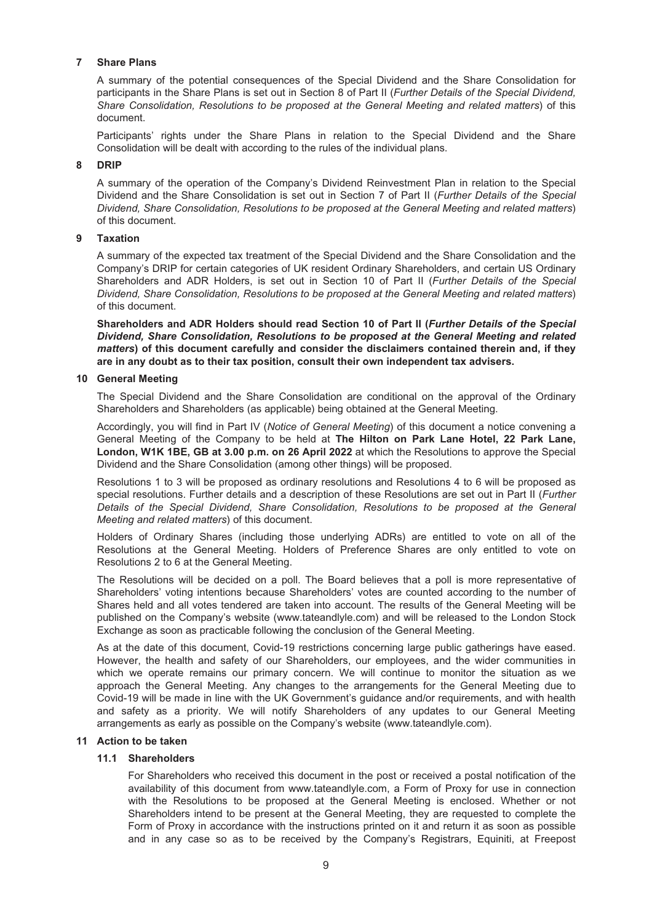#### **7 Share Plans**

A summary of the potential consequences of the Special Dividend and the Share Consolidation for participants in the Share Plans is set out in Section 8 of Part II (*Further Details of the Special Dividend, Share Consolidation, Resolutions to be proposed at the General Meeting and related matters*) of this document.

Participants' rights under the Share Plans in relation to the Special Dividend and the Share Consolidation will be dealt with according to the rules of the individual plans.

#### **8 DRIP**

A summary of the operation of the Company's Dividend Reinvestment Plan in relation to the Special Dividend and the Share Consolidation is set out in Section 7 of Part II (*Further Details of the Special Dividend, Share Consolidation, Resolutions to be proposed at the General Meeting and related matters*) of this document.

#### **9 Taxation**

A summary of the expected tax treatment of the Special Dividend and the Share Consolidation and the Company's DRIP for certain categories of UK resident Ordinary Shareholders, and certain US Ordinary Shareholders and ADR Holders, is set out in Section 10 of Part II (*Further Details of the Special Dividend, Share Consolidation, Resolutions to be proposed at the General Meeting and related matters*) of this document.

**Shareholders and ADR Holders should read Section 10 of Part II (***Further Details of the Special Dividend, Share Consolidation, Resolutions to be proposed at the General Meeting and related matters***) of this document carefully and consider the disclaimers contained therein and, if they are in any doubt as to their tax position, consult their own independent tax advisers.**

#### **10 General Meeting**

The Special Dividend and the Share Consolidation are conditional on the approval of the Ordinary Shareholders and Shareholders (as applicable) being obtained at the General Meeting.

Accordingly, you will find in Part IV (*Notice of General Meeting*) of this document a notice convening a General Meeting of the Company to be held at **The Hilton on Park Lane Hotel, 22 Park Lane, London, W1K 1BE, GB at 3.00 p.m. on 26 April 2022** at which the Resolutions to approve the Special Dividend and the Share Consolidation (among other things) will be proposed.

Resolutions 1 to 3 will be proposed as ordinary resolutions and Resolutions 4 to 6 will be proposed as special resolutions. Further details and a description of these Resolutions are set out in Part II (*Further Details of the Special Dividend, Share Consolidation, Resolutions to be proposed at the General Meeting and related matters*) of this document.

Holders of Ordinary Shares (including those underlying ADRs) are entitled to vote on all of the Resolutions at the General Meeting. Holders of Preference Shares are only entitled to vote on Resolutions 2 to 6 at the General Meeting.

The Resolutions will be decided on a poll. The Board believes that a poll is more representative of Shareholders' voting intentions because Shareholders' votes are counted according to the number of Shares held and all votes tendered are taken into account. The results of the General Meeting will be published on the Company's website (www.tateandlyle.com) and will be released to the London Stock Exchange as soon as practicable following the conclusion of the General Meeting.

As at the date of this document, Covid-19 restrictions concerning large public gatherings have eased. However, the health and safety of our Shareholders, our employees, and the wider communities in which we operate remains our primary concern. We will continue to monitor the situation as we approach the General Meeting. Any changes to the arrangements for the General Meeting due to Covid-19 will be made in line with the UK Government's guidance and/or requirements, and with health and safety as a priority. We will notify Shareholders of any updates to our General Meeting arrangements as early as possible on the Company's website (www.tateandlyle.com).

#### **11 Action to be taken**

#### **11.1 Shareholders**

For Shareholders who received this document in the post or received a postal notification of the availability of this document from www.tateandlyle.com, a Form of Proxy for use in connection with the Resolutions to be proposed at the General Meeting is enclosed. Whether or not Shareholders intend to be present at the General Meeting, they are requested to complete the Form of Proxy in accordance with the instructions printed on it and return it as soon as possible and in any case so as to be received by the Company's Registrars, Equiniti, at Freepost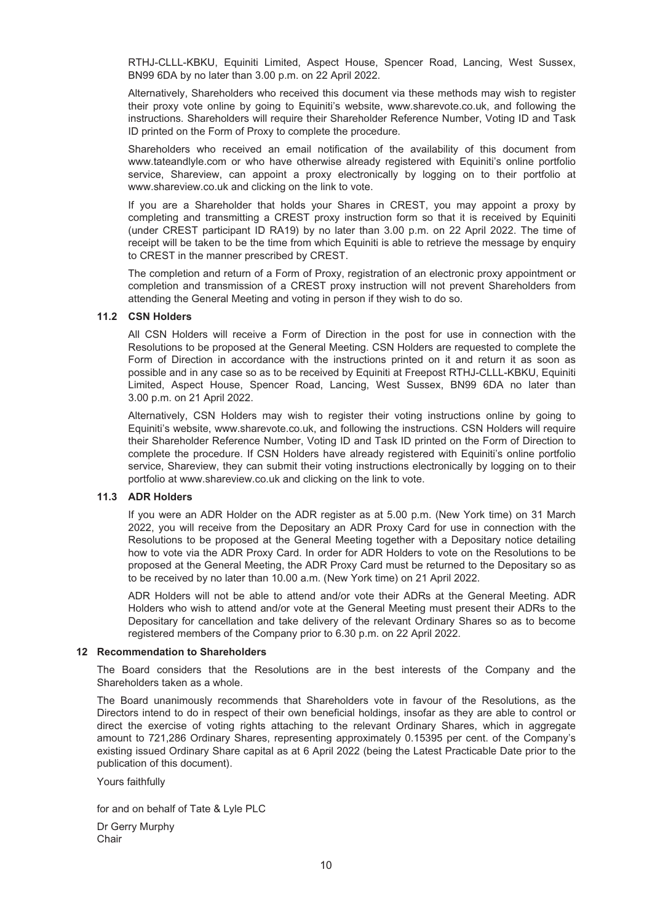RTHJ-CLLL-KBKU, Equiniti Limited, Aspect House, Spencer Road, Lancing, West Sussex, BN99 6DA by no later than 3.00 p.m. on 22 April 2022.

Alternatively, Shareholders who received this document via these methods may wish to register their proxy vote online by going to Equiniti's website, www.sharevote.co.uk, and following the instructions. Shareholders will require their Shareholder Reference Number, Voting ID and Task ID printed on the Form of Proxy to complete the procedure.

Shareholders who received an email notification of the availability of this document from www.tateandlyle.com or who have otherwise already registered with Equiniti's online portfolio service, Shareview, can appoint a proxy electronically by logging on to their portfolio at www.shareview.co.uk and clicking on the link to vote.

If you are a Shareholder that holds your Shares in CREST, you may appoint a proxy by completing and transmitting a CREST proxy instruction form so that it is received by Equiniti (under CREST participant ID RA19) by no later than 3.00 p.m. on 22 April 2022. The time of receipt will be taken to be the time from which Equiniti is able to retrieve the message by enquiry to CREST in the manner prescribed by CREST.

The completion and return of a Form of Proxy, registration of an electronic proxy appointment or completion and transmission of a CREST proxy instruction will not prevent Shareholders from attending the General Meeting and voting in person if they wish to do so.

#### **11.2 CSN Holders**

All CSN Holders will receive a Form of Direction in the post for use in connection with the Resolutions to be proposed at the General Meeting. CSN Holders are requested to complete the Form of Direction in accordance with the instructions printed on it and return it as soon as possible and in any case so as to be received by Equiniti at Freepost RTHJ-CLLL-KBKU, Equiniti Limited, Aspect House, Spencer Road, Lancing, West Sussex, BN99 6DA no later than 3.00 p.m. on 21 April 2022.

Alternatively, CSN Holders may wish to register their voting instructions online by going to Equiniti's website, www.sharevote.co.uk, and following the instructions. CSN Holders will require their Shareholder Reference Number, Voting ID and Task ID printed on the Form of Direction to complete the procedure. If CSN Holders have already registered with Equiniti's online portfolio service, Shareview, they can submit their voting instructions electronically by logging on to their portfolio at www.shareview.co.uk and clicking on the link to vote.

#### **11.3 ADR Holders**

If you were an ADR Holder on the ADR register as at 5.00 p.m. (New York time) on 31 March 2022, you will receive from the Depositary an ADR Proxy Card for use in connection with the Resolutions to be proposed at the General Meeting together with a Depositary notice detailing how to vote via the ADR Proxy Card. In order for ADR Holders to vote on the Resolutions to be proposed at the General Meeting, the ADR Proxy Card must be returned to the Depositary so as to be received by no later than 10.00 a.m. (New York time) on 21 April 2022.

ADR Holders will not be able to attend and/or vote their ADRs at the General Meeting. ADR Holders who wish to attend and/or vote at the General Meeting must present their ADRs to the Depositary for cancellation and take delivery of the relevant Ordinary Shares so as to become registered members of the Company prior to 6.30 p.m. on 22 April 2022.

#### **12 Recommendation to Shareholders**

The Board considers that the Resolutions are in the best interests of the Company and the Shareholders taken as a whole.

The Board unanimously recommends that Shareholders vote in favour of the Resolutions, as the Directors intend to do in respect of their own beneficial holdings, insofar as they are able to control or direct the exercise of voting rights attaching to the relevant Ordinary Shares, which in aggregate amount to 721,286 Ordinary Shares, representing approximately 0.15395 per cent. of the Company's existing issued Ordinary Share capital as at 6 April 2022 (being the Latest Practicable Date prior to the publication of this document).

Yours faithfully

for and on behalf of Tate & Lyle PLC

Dr Gerry Murphy **Chair**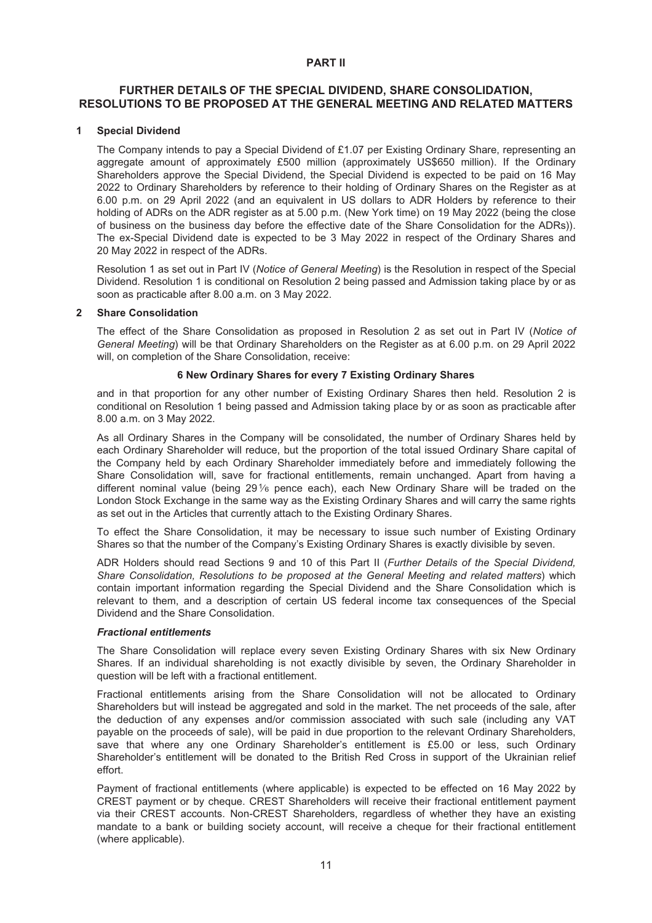#### **PART II**

## <span id="page-10-0"></span>**FURTHER DETAILS OF THE SPECIAL DIVIDEND, SHARE CONSOLIDATION, RESOLUTIONS TO BE PROPOSED AT THE GENERAL MEETING AND RELATED MATTERS**

#### **1 Special Dividend**

The Company intends to pay a Special Dividend of £1.07 per Existing Ordinary Share, representing an aggregate amount of approximately £500 million (approximately US\$650 million). If the Ordinary Shareholders approve the Special Dividend, the Special Dividend is expected to be paid on 16 May 2022 to Ordinary Shareholders by reference to their holding of Ordinary Shares on the Register as at 6.00 p.m. on 29 April 2022 (and an equivalent in US dollars to ADR Holders by reference to their holding of ADRs on the ADR register as at 5.00 p.m. (New York time) on 19 May 2022 (being the close of business on the business day before the effective date of the Share Consolidation for the ADRs)). The ex-Special Dividend date is expected to be 3 May 2022 in respect of the Ordinary Shares and 20 May 2022 in respect of the ADRs.

Resolution 1 as set out in Part IV (*Notice of General Meeting*) is the Resolution in respect of the Special Dividend. Resolution 1 is conditional on Resolution 2 being passed and Admission taking place by or as soon as practicable after 8.00 a.m. on 3 May 2022.

#### **2 Share Consolidation**

The effect of the Share Consolidation as proposed in Resolution 2 as set out in Part IV (*Notice of General Meeting*) will be that Ordinary Shareholders on the Register as at 6.00 p.m. on 29 April 2022 will, on completion of the Share Consolidation, receive:

### **6 New Ordinary Shares for every 7 Existing Ordinary Shares**

and in that proportion for any other number of Existing Ordinary Shares then held. Resolution 2 is conditional on Resolution 1 being passed and Admission taking place by or as soon as practicable after 8.00 a.m. on 3 May 2022.

As all Ordinary Shares in the Company will be consolidated, the number of Ordinary Shares held by each Ordinary Shareholder will reduce, but the proportion of the total issued Ordinary Share capital of the Company held by each Ordinary Shareholder immediately before and immediately following the Share Consolidation will, save for fractional entitlements, remain unchanged. Apart from having a different nominal value (being 291⁄6 pence each), each New Ordinary Share will be traded on the London Stock Exchange in the same way as the Existing Ordinary Shares and will carry the same rights as set out in the Articles that currently attach to the Existing Ordinary Shares.

To effect the Share Consolidation, it may be necessary to issue such number of Existing Ordinary Shares so that the number of the Company's Existing Ordinary Shares is exactly divisible by seven.

ADR Holders should read Sections 9 and 10 of this Part II (*Further Details of the Special Dividend, Share Consolidation, Resolutions to be proposed at the General Meeting and related matters*) which contain important information regarding the Special Dividend and the Share Consolidation which is relevant to them, and a description of certain US federal income tax consequences of the Special Dividend and the Share Consolidation.

#### *Fractional entitlements*

The Share Consolidation will replace every seven Existing Ordinary Shares with six New Ordinary Shares. If an individual shareholding is not exactly divisible by seven, the Ordinary Shareholder in question will be left with a fractional entitlement.

Fractional entitlements arising from the Share Consolidation will not be allocated to Ordinary Shareholders but will instead be aggregated and sold in the market. The net proceeds of the sale, after the deduction of any expenses and/or commission associated with such sale (including any VAT payable on the proceeds of sale), will be paid in due proportion to the relevant Ordinary Shareholders, save that where any one Ordinary Shareholder's entitlement is £5.00 or less, such Ordinary Shareholder's entitlement will be donated to the British Red Cross in support of the Ukrainian relief effort.

Payment of fractional entitlements (where applicable) is expected to be effected on 16 May 2022 by CREST payment or by cheque. CREST Shareholders will receive their fractional entitlement payment via their CREST accounts. Non-CREST Shareholders, regardless of whether they have an existing mandate to a bank or building society account, will receive a cheque for their fractional entitlement (where applicable).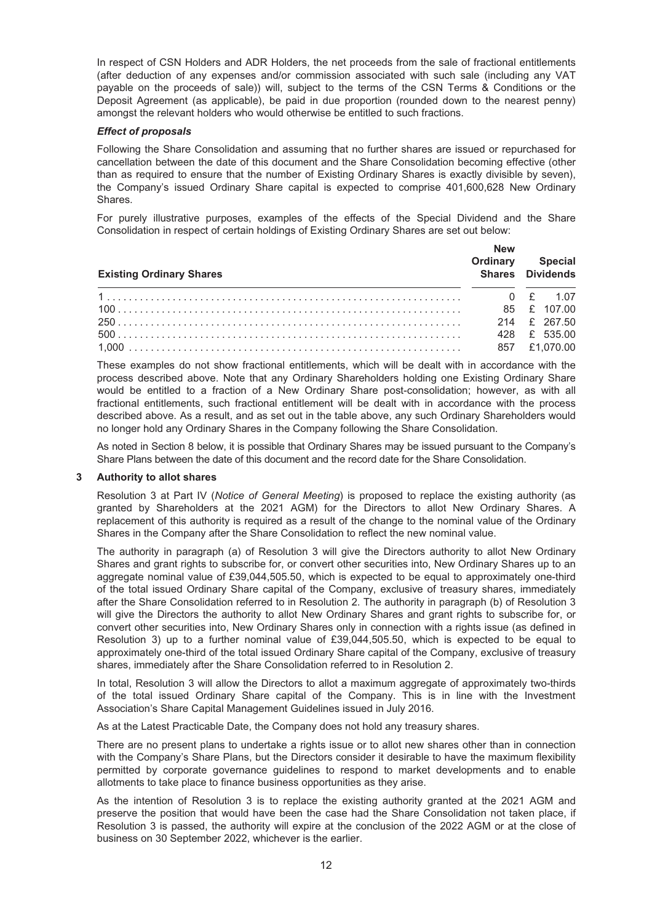In respect of CSN Holders and ADR Holders, the net proceeds from the sale of fractional entitlements (after deduction of any expenses and/or commission associated with such sale (including any VAT payable on the proceeds of sale)) will, subject to the terms of the CSN Terms & Conditions or the Deposit Agreement (as applicable), be paid in due proportion (rounded down to the nearest penny) amongst the relevant holders who would otherwise be entitled to such fractions.

#### *Effect of proposals*

Following the Share Consolidation and assuming that no further shares are issued or repurchased for cancellation between the date of this document and the Share Consolidation becoming effective (other than as required to ensure that the number of Existing Ordinary Shares is exactly divisible by seven), the Company's issued Ordinary Share capital is expected to comprise 401,600,628 New Ordinary Shares.

For purely illustrative purposes, examples of the effects of the Special Dividend and the Share Consolidation in respect of certain holdings of Existing Ordinary Shares are set out below:

| <b>Existing Ordinary Shares</b> | <b>New</b><br>Ordinary | Special<br>Shares Dividends |  |
|---------------------------------|------------------------|-----------------------------|--|
|                                 |                        |                             |  |
|                                 |                        |                             |  |
|                                 |                        | 214 £ 267.50                |  |
|                                 |                        | 428 £ 535.00                |  |
|                                 |                        | 857 £1.070.00               |  |

These examples do not show fractional entitlements, which will be dealt with in accordance with the process described above. Note that any Ordinary Shareholders holding one Existing Ordinary Share would be entitled to a fraction of a New Ordinary Share post-consolidation; however, as with all fractional entitlements, such fractional entitlement will be dealt with in accordance with the process described above. As a result, and as set out in the table above, any such Ordinary Shareholders would no longer hold any Ordinary Shares in the Company following the Share Consolidation.

As noted in Section 8 below, it is possible that Ordinary Shares may be issued pursuant to the Company's Share Plans between the date of this document and the record date for the Share Consolidation.

#### **3 Authority to allot shares**

Resolution 3 at Part IV (*Notice of General Meeting*) is proposed to replace the existing authority (as granted by Shareholders at the 2021 AGM) for the Directors to allot New Ordinary Shares. A replacement of this authority is required as a result of the change to the nominal value of the Ordinary Shares in the Company after the Share Consolidation to reflect the new nominal value.

The authority in paragraph (a) of Resolution 3 will give the Directors authority to allot New Ordinary Shares and grant rights to subscribe for, or convert other securities into, New Ordinary Shares up to an aggregate nominal value of £39,044,505.50, which is expected to be equal to approximately one-third of the total issued Ordinary Share capital of the Company, exclusive of treasury shares, immediately after the Share Consolidation referred to in Resolution 2. The authority in paragraph (b) of Resolution 3 will give the Directors the authority to allot New Ordinary Shares and grant rights to subscribe for, or convert other securities into, New Ordinary Shares only in connection with a rights issue (as defined in Resolution 3) up to a further nominal value of £39,044,505.50, which is expected to be equal to approximately one-third of the total issued Ordinary Share capital of the Company, exclusive of treasury shares, immediately after the Share Consolidation referred to in Resolution 2.

In total, Resolution 3 will allow the Directors to allot a maximum aggregate of approximately two-thirds of the total issued Ordinary Share capital of the Company. This is in line with the Investment Association's Share Capital Management Guidelines issued in July 2016.

As at the Latest Practicable Date, the Company does not hold any treasury shares.

There are no present plans to undertake a rights issue or to allot new shares other than in connection with the Company's Share Plans, but the Directors consider it desirable to have the maximum flexibility permitted by corporate governance guidelines to respond to market developments and to enable allotments to take place to finance business opportunities as they arise.

As the intention of Resolution 3 is to replace the existing authority granted at the 2021 AGM and preserve the position that would have been the case had the Share Consolidation not taken place, if Resolution 3 is passed, the authority will expire at the conclusion of the 2022 AGM or at the close of business on 30 September 2022, whichever is the earlier.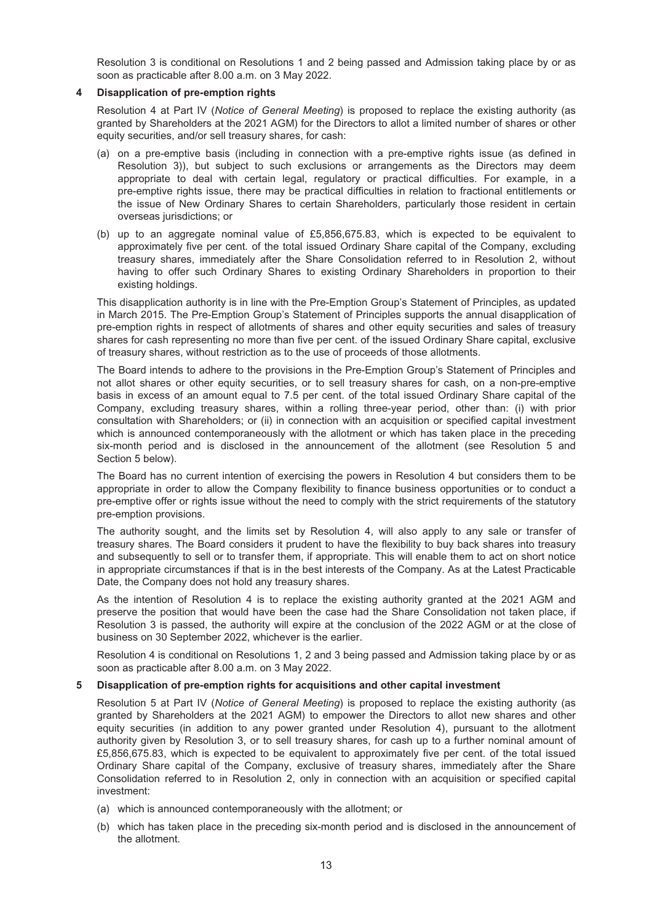Resolution 3 is conditional on Resolutions 1 and 2 being passed and Admission taking place by or as soon as practicable after 8.00 a.m. on 3 May 2022.

#### **4 Disapplication of pre-emption rights**

Resolution 4 at Part IV (*Notice of General Meeting*) is proposed to replace the existing authority (as granted by Shareholders at the 2021 AGM) for the Directors to allot a limited number of shares or other equity securities, and/or sell treasury shares, for cash:

- (a) on a pre-emptive basis (including in connection with a pre-emptive rights issue (as defined in Resolution 3)), but subject to such exclusions or arrangements as the Directors may deem appropriate to deal with certain legal, regulatory or practical difficulties. For example, in a pre-emptive rights issue, there may be practical difficulties in relation to fractional entitlements or the issue of New Ordinary Shares to certain Shareholders, particularly those resident in certain overseas jurisdictions; or
- (b) up to an aggregate nominal value of £5,856,675.83, which is expected to be equivalent to approximately five per cent. of the total issued Ordinary Share capital of the Company, excluding treasury shares, immediately after the Share Consolidation referred to in Resolution 2, without having to offer such Ordinary Shares to existing Ordinary Shareholders in proportion to their existing holdings.

This disapplication authority is in line with the Pre-Emption Group's Statement of Principles, as updated in March 2015. The Pre-Emption Group's Statement of Principles supports the annual disapplication of pre-emption rights in respect of allotments of shares and other equity securities and sales of treasury shares for cash representing no more than five per cent. of the issued Ordinary Share capital, exclusive of treasury shares, without restriction as to the use of proceeds of those allotments.

The Board intends to adhere to the provisions in the Pre-Emption Group's Statement of Principles and not allot shares or other equity securities, or to sell treasury shares for cash, on a non-pre-emptive basis in excess of an amount equal to 7.5 per cent. of the total issued Ordinary Share capital of the Company, excluding treasury shares, within a rolling three-year period, other than: (i) with prior consultation with Shareholders; or (ii) in connection with an acquisition or specified capital investment which is announced contemporaneously with the allotment or which has taken place in the preceding six-month period and is disclosed in the announcement of the allotment (see Resolution 5 and Section 5 below).

The Board has no current intention of exercising the powers in Resolution 4 but considers them to be appropriate in order to allow the Company flexibility to finance business opportunities or to conduct a pre-emptive offer or rights issue without the need to comply with the strict requirements of the statutory pre-emption provisions.

The authority sought, and the limits set by Resolution 4, will also apply to any sale or transfer of treasury shares. The Board considers it prudent to have the flexibility to buy back shares into treasury and subsequently to sell or to transfer them, if appropriate. This will enable them to act on short notice in appropriate circumstances if that is in the best interests of the Company. As at the Latest Practicable Date, the Company does not hold any treasury shares.

As the intention of Resolution 4 is to replace the existing authority granted at the 2021 AGM and preserve the position that would have been the case had the Share Consolidation not taken place, if Resolution 3 is passed, the authority will expire at the conclusion of the 2022 AGM or at the close of business on 30 September 2022, whichever is the earlier.

Resolution 4 is conditional on Resolutions 1, 2 and 3 being passed and Admission taking place by or as soon as practicable after 8.00 a.m. on 3 May 2022.

#### **5 Disapplication of pre-emption rights for acquisitions and other capital investment**

Resolution 5 at Part IV (*Notice of General Meeting*) is proposed to replace the existing authority (as granted by Shareholders at the 2021 AGM) to empower the Directors to allot new shares and other equity securities (in addition to any power granted under Resolution 4), pursuant to the allotment authority given by Resolution 3, or to sell treasury shares, for cash up to a further nominal amount of £5,856,675.83, which is expected to be equivalent to approximately five per cent. of the total issued Ordinary Share capital of the Company, exclusive of treasury shares, immediately after the Share Consolidation referred to in Resolution 2, only in connection with an acquisition or specified capital investment:

- (a) which is announced contemporaneously with the allotment; or
- (b) which has taken place in the preceding six-month period and is disclosed in the announcement of the allotment.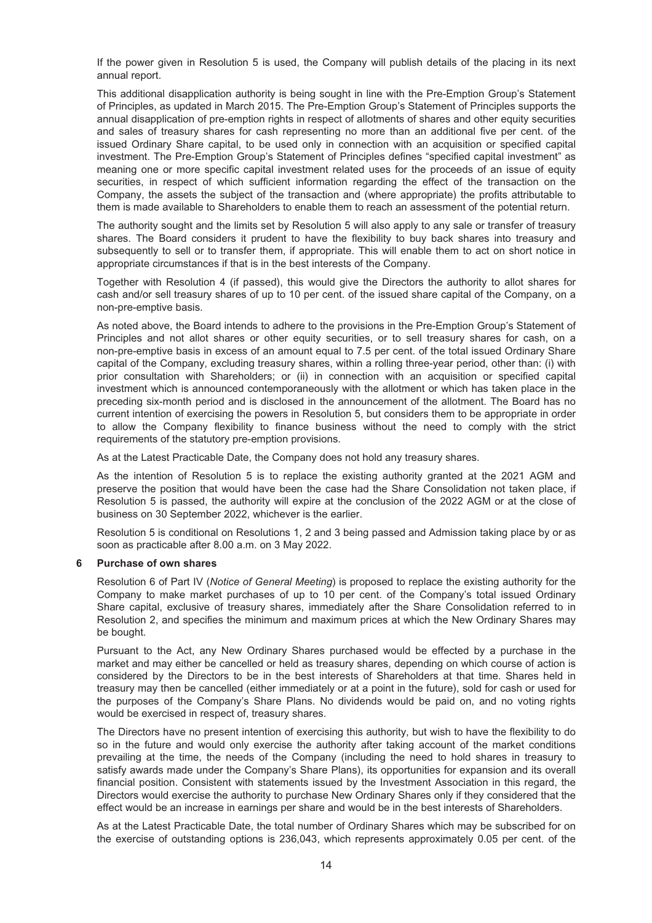If the power given in Resolution 5 is used, the Company will publish details of the placing in its next annual report.

This additional disapplication authority is being sought in line with the Pre-Emption Group's Statement of Principles, as updated in March 2015. The Pre-Emption Group's Statement of Principles supports the annual disapplication of pre-emption rights in respect of allotments of shares and other equity securities and sales of treasury shares for cash representing no more than an additional five per cent. of the issued Ordinary Share capital, to be used only in connection with an acquisition or specified capital investment. The Pre-Emption Group's Statement of Principles defines "specified capital investment" as meaning one or more specific capital investment related uses for the proceeds of an issue of equity securities, in respect of which sufficient information regarding the effect of the transaction on the Company, the assets the subject of the transaction and (where appropriate) the profits attributable to them is made available to Shareholders to enable them to reach an assessment of the potential return.

The authority sought and the limits set by Resolution 5 will also apply to any sale or transfer of treasury shares. The Board considers it prudent to have the flexibility to buy back shares into treasury and subsequently to sell or to transfer them, if appropriate. This will enable them to act on short notice in appropriate circumstances if that is in the best interests of the Company.

Together with Resolution 4 (if passed), this would give the Directors the authority to allot shares for cash and/or sell treasury shares of up to 10 per cent. of the issued share capital of the Company, on a non-pre-emptive basis.

As noted above, the Board intends to adhere to the provisions in the Pre-Emption Group's Statement of Principles and not allot shares or other equity securities, or to sell treasury shares for cash, on a non-pre-emptive basis in excess of an amount equal to 7.5 per cent. of the total issued Ordinary Share capital of the Company, excluding treasury shares, within a rolling three-year period, other than: (i) with prior consultation with Shareholders; or (ii) in connection with an acquisition or specified capital investment which is announced contemporaneously with the allotment or which has taken place in the preceding six-month period and is disclosed in the announcement of the allotment. The Board has no current intention of exercising the powers in Resolution 5, but considers them to be appropriate in order to allow the Company flexibility to finance business without the need to comply with the strict requirements of the statutory pre-emption provisions.

As at the Latest Practicable Date, the Company does not hold any treasury shares.

As the intention of Resolution 5 is to replace the existing authority granted at the 2021 AGM and preserve the position that would have been the case had the Share Consolidation not taken place, if Resolution 5 is passed, the authority will expire at the conclusion of the 2022 AGM or at the close of business on 30 September 2022, whichever is the earlier.

Resolution 5 is conditional on Resolutions 1, 2 and 3 being passed and Admission taking place by or as soon as practicable after 8.00 a.m. on 3 May 2022.

#### **6 Purchase of own shares**

Resolution 6 of Part IV (*Notice of General Meeting*) is proposed to replace the existing authority for the Company to make market purchases of up to 10 per cent. of the Company's total issued Ordinary Share capital, exclusive of treasury shares, immediately after the Share Consolidation referred to in Resolution 2, and specifies the minimum and maximum prices at which the New Ordinary Shares may be bought.

Pursuant to the Act, any New Ordinary Shares purchased would be effected by a purchase in the market and may either be cancelled or held as treasury shares, depending on which course of action is considered by the Directors to be in the best interests of Shareholders at that time. Shares held in treasury may then be cancelled (either immediately or at a point in the future), sold for cash or used for the purposes of the Company's Share Plans. No dividends would be paid on, and no voting rights would be exercised in respect of, treasury shares.

The Directors have no present intention of exercising this authority, but wish to have the flexibility to do so in the future and would only exercise the authority after taking account of the market conditions prevailing at the time, the needs of the Company (including the need to hold shares in treasury to satisfy awards made under the Company's Share Plans), its opportunities for expansion and its overall financial position. Consistent with statements issued by the Investment Association in this regard, the Directors would exercise the authority to purchase New Ordinary Shares only if they considered that the effect would be an increase in earnings per share and would be in the best interests of Shareholders.

As at the Latest Practicable Date, the total number of Ordinary Shares which may be subscribed for on the exercise of outstanding options is 236,043, which represents approximately 0.05 per cent. of the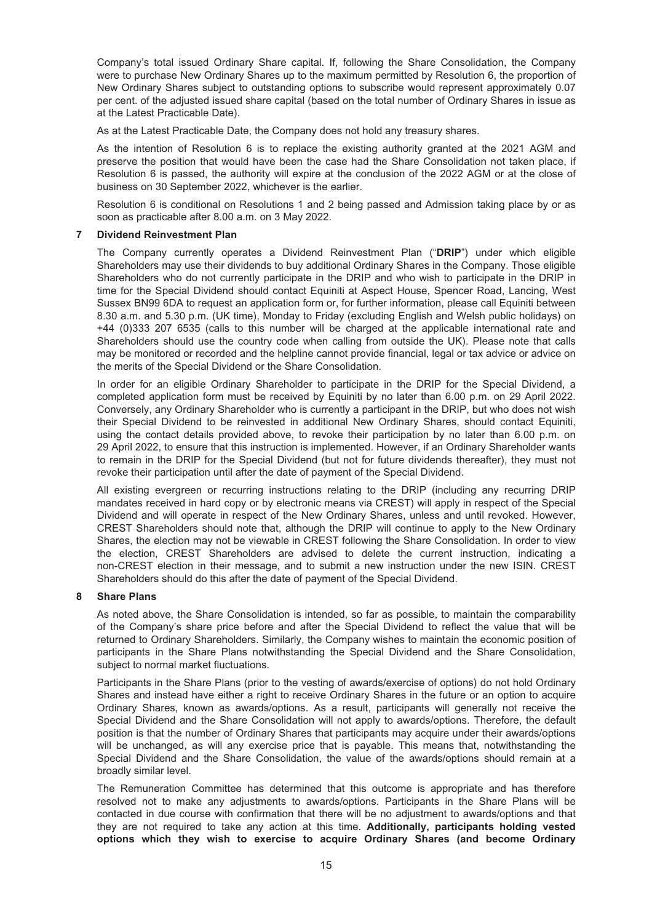Company's total issued Ordinary Share capital. If, following the Share Consolidation, the Company were to purchase New Ordinary Shares up to the maximum permitted by Resolution 6, the proportion of New Ordinary Shares subject to outstanding options to subscribe would represent approximately 0.07 per cent. of the adjusted issued share capital (based on the total number of Ordinary Shares in issue as at the Latest Practicable Date).

As at the Latest Practicable Date, the Company does not hold any treasury shares.

As the intention of Resolution 6 is to replace the existing authority granted at the 2021 AGM and preserve the position that would have been the case had the Share Consolidation not taken place, if Resolution 6 is passed, the authority will expire at the conclusion of the 2022 AGM or at the close of business on 30 September 2022, whichever is the earlier.

Resolution 6 is conditional on Resolutions 1 and 2 being passed and Admission taking place by or as soon as practicable after 8.00 a.m. on 3 May 2022.

#### **7 Dividend Reinvestment Plan**

The Company currently operates a Dividend Reinvestment Plan ("**DRIP**") under which eligible Shareholders may use their dividends to buy additional Ordinary Shares in the Company. Those eligible Shareholders who do not currently participate in the DRIP and who wish to participate in the DRIP in time for the Special Dividend should contact Equiniti at Aspect House, Spencer Road, Lancing, West Sussex BN99 6DA to request an application form or, for further information, please call Equiniti between 8.30 a.m. and 5.30 p.m. (UK time), Monday to Friday (excluding English and Welsh public holidays) on +44 (0)333 207 6535 (calls to this number will be charged at the applicable international rate and Shareholders should use the country code when calling from outside the UK). Please note that calls may be monitored or recorded and the helpline cannot provide financial, legal or tax advice or advice on the merits of the Special Dividend or the Share Consolidation.

In order for an eligible Ordinary Shareholder to participate in the DRIP for the Special Dividend, a completed application form must be received by Equiniti by no later than 6.00 p.m. on 29 April 2022. Conversely, any Ordinary Shareholder who is currently a participant in the DRIP, but who does not wish their Special Dividend to be reinvested in additional New Ordinary Shares, should contact Equiniti, using the contact details provided above, to revoke their participation by no later than 6.00 p.m. on 29 April 2022, to ensure that this instruction is implemented. However, if an Ordinary Shareholder wants to remain in the DRIP for the Special Dividend (but not for future dividends thereafter), they must not revoke their participation until after the date of payment of the Special Dividend.

All existing evergreen or recurring instructions relating to the DRIP (including any recurring DRIP mandates received in hard copy or by electronic means via CREST) will apply in respect of the Special Dividend and will operate in respect of the New Ordinary Shares, unless and until revoked. However, CREST Shareholders should note that, although the DRIP will continue to apply to the New Ordinary Shares, the election may not be viewable in CREST following the Share Consolidation. In order to view the election, CREST Shareholders are advised to delete the current instruction, indicating a non-CREST election in their message, and to submit a new instruction under the new ISIN. CREST Shareholders should do this after the date of payment of the Special Dividend.

#### **8 Share Plans**

As noted above, the Share Consolidation is intended, so far as possible, to maintain the comparability of the Company's share price before and after the Special Dividend to reflect the value that will be returned to Ordinary Shareholders. Similarly, the Company wishes to maintain the economic position of participants in the Share Plans notwithstanding the Special Dividend and the Share Consolidation, subject to normal market fluctuations.

Participants in the Share Plans (prior to the vesting of awards/exercise of options) do not hold Ordinary Shares and instead have either a right to receive Ordinary Shares in the future or an option to acquire Ordinary Shares, known as awards/options. As a result, participants will generally not receive the Special Dividend and the Share Consolidation will not apply to awards/options. Therefore, the default position is that the number of Ordinary Shares that participants may acquire under their awards/options will be unchanged, as will any exercise price that is payable. This means that, notwithstanding the Special Dividend and the Share Consolidation, the value of the awards/options should remain at a broadly similar level.

The Remuneration Committee has determined that this outcome is appropriate and has therefore resolved not to make any adjustments to awards/options. Participants in the Share Plans will be contacted in due course with confirmation that there will be no adjustment to awards/options and that they are not required to take any action at this time. **Additionally, participants holding vested options which they wish to exercise to acquire Ordinary Shares (and become Ordinary**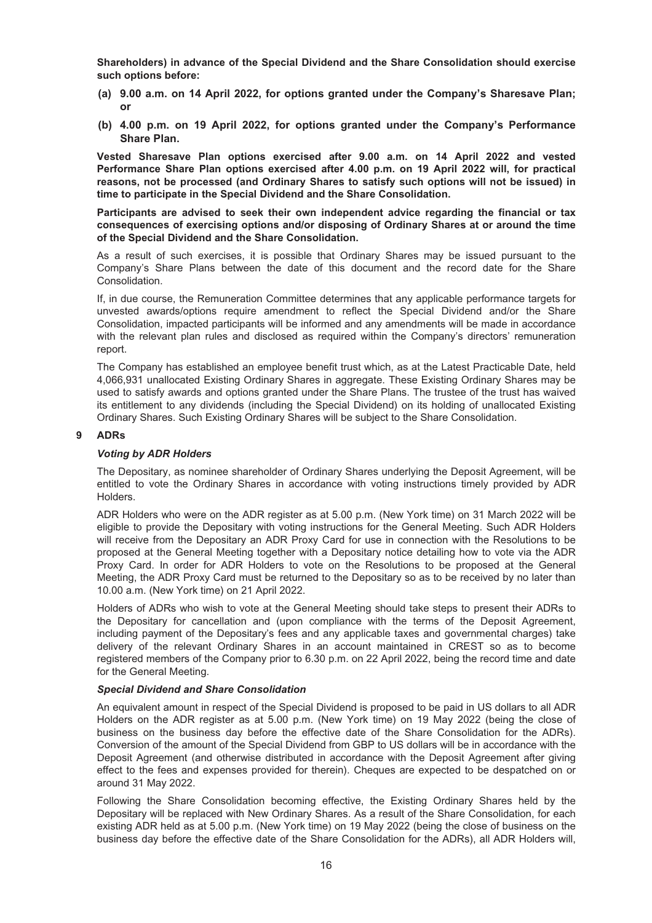**Shareholders) in advance of the Special Dividend and the Share Consolidation should exercise such options before:**

- **(a) 9.00 a.m. on 14 April 2022, for options granted under the Company's Sharesave Plan; or**
- **(b) 4.00 p.m. on 19 April 2022, for options granted under the Company's Performance Share Plan.**

**Vested Sharesave Plan options exercised after 9.00 a.m. on 14 April 2022 and vested Performance Share Plan options exercised after 4.00 p.m. on 19 April 2022 will, for practical reasons, not be processed (and Ordinary Shares to satisfy such options will not be issued) in time to participate in the Special Dividend and the Share Consolidation.**

**Participants are advised to seek their own independent advice regarding the financial or tax consequences of exercising options and/or disposing of Ordinary Shares at or around the time of the Special Dividend and the Share Consolidation.**

As a result of such exercises, it is possible that Ordinary Shares may be issued pursuant to the Company's Share Plans between the date of this document and the record date for the Share Consolidation.

If, in due course, the Remuneration Committee determines that any applicable performance targets for unvested awards/options require amendment to reflect the Special Dividend and/or the Share Consolidation, impacted participants will be informed and any amendments will be made in accordance with the relevant plan rules and disclosed as required within the Company's directors' remuneration report.

The Company has established an employee benefit trust which, as at the Latest Practicable Date, held 4,066,931 unallocated Existing Ordinary Shares in aggregate. These Existing Ordinary Shares may be used to satisfy awards and options granted under the Share Plans. The trustee of the trust has waived its entitlement to any dividends (including the Special Dividend) on its holding of unallocated Existing Ordinary Shares. Such Existing Ordinary Shares will be subject to the Share Consolidation.

#### **9 ADRs**

#### *Voting by ADR Holders*

The Depositary, as nominee shareholder of Ordinary Shares underlying the Deposit Agreement, will be entitled to vote the Ordinary Shares in accordance with voting instructions timely provided by ADR Holders.

ADR Holders who were on the ADR register as at 5.00 p.m. (New York time) on 31 March 2022 will be eligible to provide the Depositary with voting instructions for the General Meeting. Such ADR Holders will receive from the Depositary an ADR Proxy Card for use in connection with the Resolutions to be proposed at the General Meeting together with a Depositary notice detailing how to vote via the ADR Proxy Card. In order for ADR Holders to vote on the Resolutions to be proposed at the General Meeting, the ADR Proxy Card must be returned to the Depositary so as to be received by no later than 10.00 a.m. (New York time) on 21 April 2022.

Holders of ADRs who wish to vote at the General Meeting should take steps to present their ADRs to the Depositary for cancellation and (upon compliance with the terms of the Deposit Agreement, including payment of the Depositary's fees and any applicable taxes and governmental charges) take delivery of the relevant Ordinary Shares in an account maintained in CREST so as to become registered members of the Company prior to 6.30 p.m. on 22 April 2022, being the record time and date for the General Meeting.

#### *Special Dividend and Share Consolidation*

An equivalent amount in respect of the Special Dividend is proposed to be paid in US dollars to all ADR Holders on the ADR register as at 5.00 p.m. (New York time) on 19 May 2022 (being the close of business on the business day before the effective date of the Share Consolidation for the ADRs). Conversion of the amount of the Special Dividend from GBP to US dollars will be in accordance with the Deposit Agreement (and otherwise distributed in accordance with the Deposit Agreement after giving effect to the fees and expenses provided for therein). Cheques are expected to be despatched on or around 31 May 2022.

Following the Share Consolidation becoming effective, the Existing Ordinary Shares held by the Depositary will be replaced with New Ordinary Shares. As a result of the Share Consolidation, for each existing ADR held as at 5.00 p.m. (New York time) on 19 May 2022 (being the close of business on the business day before the effective date of the Share Consolidation for the ADRs), all ADR Holders will,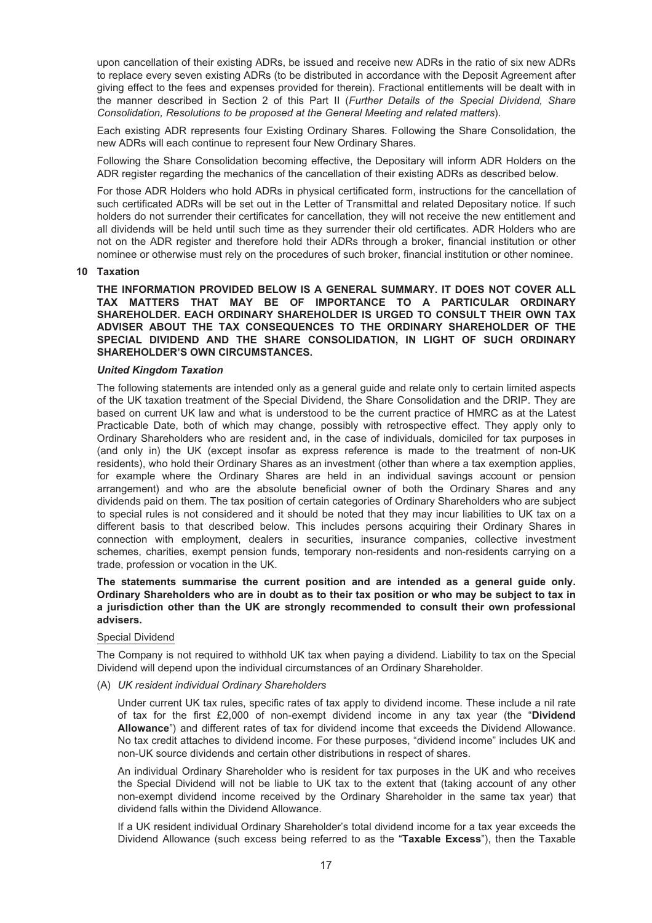upon cancellation of their existing ADRs, be issued and receive new ADRs in the ratio of six new ADRs to replace every seven existing ADRs (to be distributed in accordance with the Deposit Agreement after giving effect to the fees and expenses provided for therein). Fractional entitlements will be dealt with in the manner described in Section 2 of this Part II (*Further Details of the Special Dividend, Share Consolidation, Resolutions to be proposed at the General Meeting and related matters*).

Each existing ADR represents four Existing Ordinary Shares. Following the Share Consolidation, the new ADRs will each continue to represent four New Ordinary Shares.

Following the Share Consolidation becoming effective, the Depositary will inform ADR Holders on the ADR register regarding the mechanics of the cancellation of their existing ADRs as described below.

For those ADR Holders who hold ADRs in physical certificated form, instructions for the cancellation of such certificated ADRs will be set out in the Letter of Transmittal and related Depositary notice. If such holders do not surrender their certificates for cancellation, they will not receive the new entitlement and all dividends will be held until such time as they surrender their old certificates. ADR Holders who are not on the ADR register and therefore hold their ADRs through a broker, financial institution or other nominee or otherwise must rely on the procedures of such broker, financial institution or other nominee.

#### **10 Taxation**

**THE INFORMATION PROVIDED BELOW IS A GENERAL SUMMARY. IT DOES NOT COVER ALL TAX MATTERS THAT MAY BE OF IMPORTANCE TO A PARTICULAR ORDINARY SHAREHOLDER. EACH ORDINARY SHAREHOLDER IS URGED TO CONSULT THEIR OWN TAX ADVISER ABOUT THE TAX CONSEQUENCES TO THE ORDINARY SHAREHOLDER OF THE SPECIAL DIVIDEND AND THE SHARE CONSOLIDATION, IN LIGHT OF SUCH ORDINARY SHAREHOLDER'S OWN CIRCUMSTANCES.**

#### *United Kingdom Taxation*

The following statements are intended only as a general guide and relate only to certain limited aspects of the UK taxation treatment of the Special Dividend, the Share Consolidation and the DRIP. They are based on current UK law and what is understood to be the current practice of HMRC as at the Latest Practicable Date, both of which may change, possibly with retrospective effect. They apply only to Ordinary Shareholders who are resident and, in the case of individuals, domiciled for tax purposes in (and only in) the UK (except insofar as express reference is made to the treatment of non-UK residents), who hold their Ordinary Shares as an investment (other than where a tax exemption applies, for example where the Ordinary Shares are held in an individual savings account or pension arrangement) and who are the absolute beneficial owner of both the Ordinary Shares and any dividends paid on them. The tax position of certain categories of Ordinary Shareholders who are subject to special rules is not considered and it should be noted that they may incur liabilities to UK tax on a different basis to that described below. This includes persons acquiring their Ordinary Shares in connection with employment, dealers in securities, insurance companies, collective investment schemes, charities, exempt pension funds, temporary non-residents and non-residents carrying on a trade, profession or vocation in the UK.

#### **The statements summarise the current position and are intended as a general guide only. Ordinary Shareholders who are in doubt as to their tax position or who may be subject to tax in a jurisdiction other than the UK are strongly recommended to consult their own professional advisers.**

#### Special Dividend

The Company is not required to withhold UK tax when paying a dividend. Liability to tax on the Special Dividend will depend upon the individual circumstances of an Ordinary Shareholder.

(A) *UK resident individual Ordinary Shareholders*

Under current UK tax rules, specific rates of tax apply to dividend income. These include a nil rate of tax for the first £2,000 of non-exempt dividend income in any tax year (the "**Dividend Allowance**") and different rates of tax for dividend income that exceeds the Dividend Allowance. No tax credit attaches to dividend income. For these purposes, "dividend income" includes UK and non-UK source dividends and certain other distributions in respect of shares.

An individual Ordinary Shareholder who is resident for tax purposes in the UK and who receives the Special Dividend will not be liable to UK tax to the extent that (taking account of any other non-exempt dividend income received by the Ordinary Shareholder in the same tax year) that dividend falls within the Dividend Allowance.

If a UK resident individual Ordinary Shareholder's total dividend income for a tax year exceeds the Dividend Allowance (such excess being referred to as the "**Taxable Excess**"), then the Taxable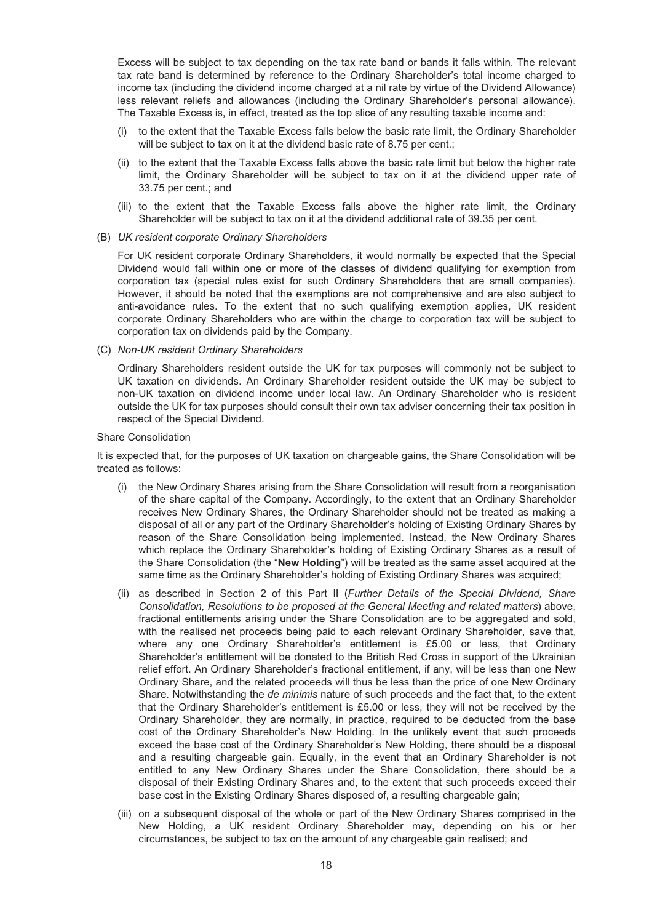Excess will be subject to tax depending on the tax rate band or bands it falls within. The relevant tax rate band is determined by reference to the Ordinary Shareholder's total income charged to income tax (including the dividend income charged at a nil rate by virtue of the Dividend Allowance) less relevant reliefs and allowances (including the Ordinary Shareholder's personal allowance). The Taxable Excess is, in effect, treated as the top slice of any resulting taxable income and:

- (i) to the extent that the Taxable Excess falls below the basic rate limit, the Ordinary Shareholder will be subject to tax on it at the dividend basic rate of 8.75 per cent.;
- (ii) to the extent that the Taxable Excess falls above the basic rate limit but below the higher rate limit, the Ordinary Shareholder will be subject to tax on it at the dividend upper rate of 33.75 per cent.; and
- (iii) to the extent that the Taxable Excess falls above the higher rate limit, the Ordinary Shareholder will be subject to tax on it at the dividend additional rate of 39.35 per cent.
- (B) *UK resident corporate Ordinary Shareholders*

For UK resident corporate Ordinary Shareholders, it would normally be expected that the Special Dividend would fall within one or more of the classes of dividend qualifying for exemption from corporation tax (special rules exist for such Ordinary Shareholders that are small companies). However, it should be noted that the exemptions are not comprehensive and are also subject to anti-avoidance rules. To the extent that no such qualifying exemption applies, UK resident corporate Ordinary Shareholders who are within the charge to corporation tax will be subject to corporation tax on dividends paid by the Company.

(C) *Non-UK resident Ordinary Shareholders*

Ordinary Shareholders resident outside the UK for tax purposes will commonly not be subject to UK taxation on dividends. An Ordinary Shareholder resident outside the UK may be subject to non-UK taxation on dividend income under local law. An Ordinary Shareholder who is resident outside the UK for tax purposes should consult their own tax adviser concerning their tax position in respect of the Special Dividend.

#### Share Consolidation

It is expected that, for the purposes of UK taxation on chargeable gains, the Share Consolidation will be treated as follows:

- (i) the New Ordinary Shares arising from the Share Consolidation will result from a reorganisation of the share capital of the Company. Accordingly, to the extent that an Ordinary Shareholder receives New Ordinary Shares, the Ordinary Shareholder should not be treated as making a disposal of all or any part of the Ordinary Shareholder's holding of Existing Ordinary Shares by reason of the Share Consolidation being implemented. Instead, the New Ordinary Shares which replace the Ordinary Shareholder's holding of Existing Ordinary Shares as a result of the Share Consolidation (the "**New Holding**") will be treated as the same asset acquired at the same time as the Ordinary Shareholder's holding of Existing Ordinary Shares was acquired;
- (ii) as described in Section 2 of this Part II (*Further Details of the Special Dividend, Share Consolidation, Resolutions to be proposed at the General Meeting and related matters*) above, fractional entitlements arising under the Share Consolidation are to be aggregated and sold, with the realised net proceeds being paid to each relevant Ordinary Shareholder, save that, where any one Ordinary Shareholder's entitlement is £5.00 or less, that Ordinary Shareholder's entitlement will be donated to the British Red Cross in support of the Ukrainian relief effort. An Ordinary Shareholder's fractional entitlement, if any, will be less than one New Ordinary Share, and the related proceeds will thus be less than the price of one New Ordinary Share. Notwithstanding the *de minimis* nature of such proceeds and the fact that, to the extent that the Ordinary Shareholder's entitlement is £5.00 or less, they will not be received by the Ordinary Shareholder, they are normally, in practice, required to be deducted from the base cost of the Ordinary Shareholder's New Holding. In the unlikely event that such proceeds exceed the base cost of the Ordinary Shareholder's New Holding, there should be a disposal and a resulting chargeable gain. Equally, in the event that an Ordinary Shareholder is not entitled to any New Ordinary Shares under the Share Consolidation, there should be a disposal of their Existing Ordinary Shares and, to the extent that such proceeds exceed their base cost in the Existing Ordinary Shares disposed of, a resulting chargeable gain;
- (iii) on a subsequent disposal of the whole or part of the New Ordinary Shares comprised in the New Holding, a UK resident Ordinary Shareholder may, depending on his or her circumstances, be subject to tax on the amount of any chargeable gain realised; and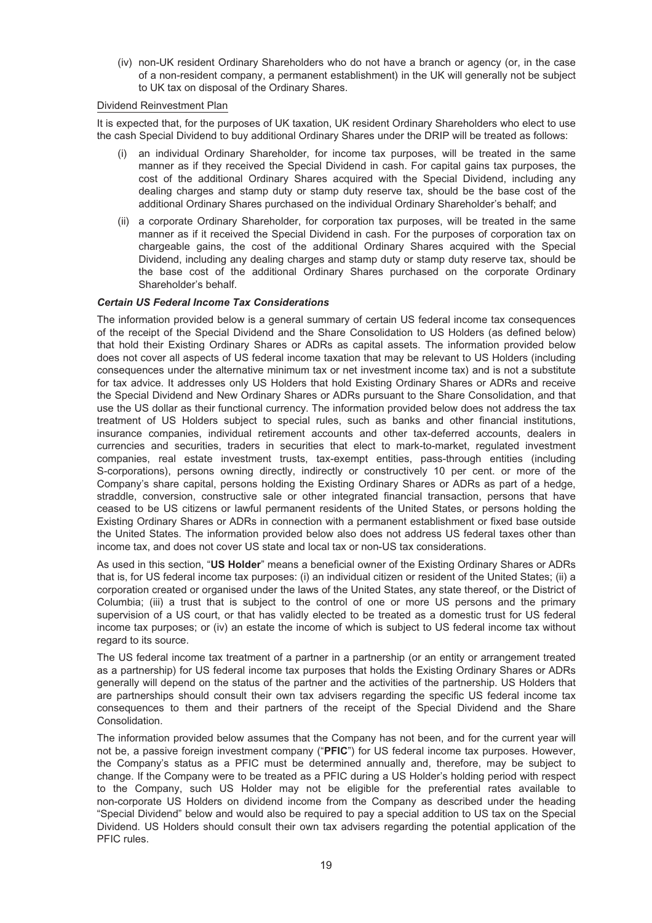(iv) non-UK resident Ordinary Shareholders who do not have a branch or agency (or, in the case of a non-resident company, a permanent establishment) in the UK will generally not be subject to UK tax on disposal of the Ordinary Shares.

#### Dividend Reinvestment Plan

It is expected that, for the purposes of UK taxation, UK resident Ordinary Shareholders who elect to use the cash Special Dividend to buy additional Ordinary Shares under the DRIP will be treated as follows:

- an individual Ordinary Shareholder, for income tax purposes, will be treated in the same manner as if they received the Special Dividend in cash. For capital gains tax purposes, the cost of the additional Ordinary Shares acquired with the Special Dividend, including any dealing charges and stamp duty or stamp duty reserve tax, should be the base cost of the additional Ordinary Shares purchased on the individual Ordinary Shareholder's behalf; and
- (ii) a corporate Ordinary Shareholder, for corporation tax purposes, will be treated in the same manner as if it received the Special Dividend in cash. For the purposes of corporation tax on chargeable gains, the cost of the additional Ordinary Shares acquired with the Special Dividend, including any dealing charges and stamp duty or stamp duty reserve tax, should be the base cost of the additional Ordinary Shares purchased on the corporate Ordinary Shareholder's behalf.

#### *Certain US Federal Income Tax Considerations*

The information provided below is a general summary of certain US federal income tax consequences of the receipt of the Special Dividend and the Share Consolidation to US Holders (as defined below) that hold their Existing Ordinary Shares or ADRs as capital assets. The information provided below does not cover all aspects of US federal income taxation that may be relevant to US Holders (including consequences under the alternative minimum tax or net investment income tax) and is not a substitute for tax advice. It addresses only US Holders that hold Existing Ordinary Shares or ADRs and receive the Special Dividend and New Ordinary Shares or ADRs pursuant to the Share Consolidation, and that use the US dollar as their functional currency. The information provided below does not address the tax treatment of US Holders subject to special rules, such as banks and other financial institutions, insurance companies, individual retirement accounts and other tax-deferred accounts, dealers in currencies and securities, traders in securities that elect to mark-to-market, regulated investment companies, real estate investment trusts, tax-exempt entities, pass-through entities (including S-corporations), persons owning directly, indirectly or constructively 10 per cent. or more of the Company's share capital, persons holding the Existing Ordinary Shares or ADRs as part of a hedge, straddle, conversion, constructive sale or other integrated financial transaction, persons that have ceased to be US citizens or lawful permanent residents of the United States, or persons holding the Existing Ordinary Shares or ADRs in connection with a permanent establishment or fixed base outside the United States. The information provided below also does not address US federal taxes other than income tax, and does not cover US state and local tax or non-US tax considerations.

As used in this section, "**US Holder**" means a beneficial owner of the Existing Ordinary Shares or ADRs that is, for US federal income tax purposes: (i) an individual citizen or resident of the United States; (ii) a corporation created or organised under the laws of the United States, any state thereof, or the District of Columbia; (iii) a trust that is subject to the control of one or more US persons and the primary supervision of a US court, or that has validly elected to be treated as a domestic trust for US federal income tax purposes; or (iv) an estate the income of which is subject to US federal income tax without regard to its source.

The US federal income tax treatment of a partner in a partnership (or an entity or arrangement treated as a partnership) for US federal income tax purposes that holds the Existing Ordinary Shares or ADRs generally will depend on the status of the partner and the activities of the partnership. US Holders that are partnerships should consult their own tax advisers regarding the specific US federal income tax consequences to them and their partners of the receipt of the Special Dividend and the Share Consolidation.

The information provided below assumes that the Company has not been, and for the current year will not be, a passive foreign investment company ("**PFIC**") for US federal income tax purposes. However, the Company's status as a PFIC must be determined annually and, therefore, may be subject to change. If the Company were to be treated as a PFIC during a US Holder's holding period with respect to the Company, such US Holder may not be eligible for the preferential rates available to non-corporate US Holders on dividend income from the Company as described under the heading "Special Dividend" below and would also be required to pay a special addition to US tax on the Special Dividend. US Holders should consult their own tax advisers regarding the potential application of the PFIC rules.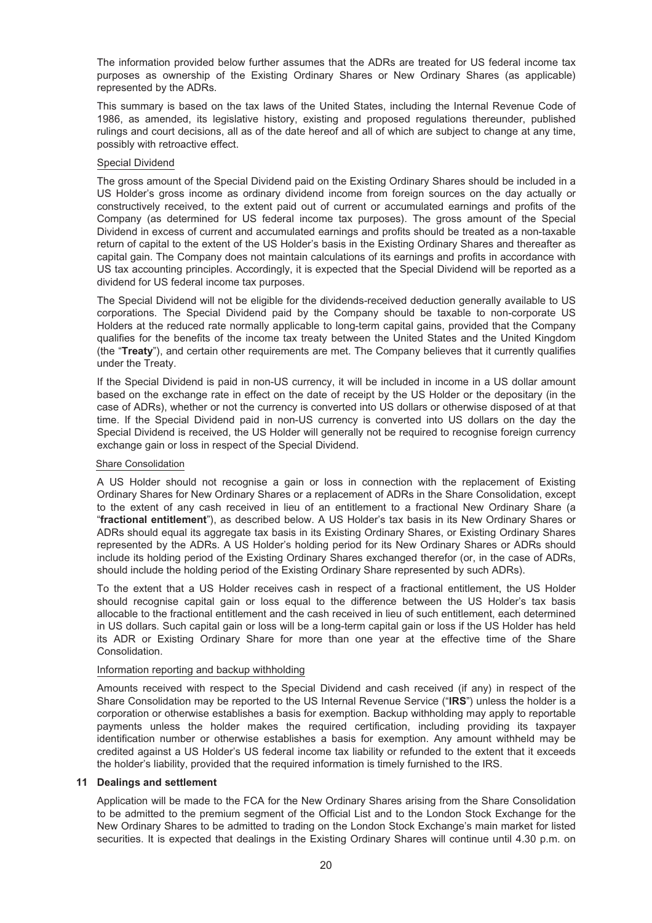The information provided below further assumes that the ADRs are treated for US federal income tax purposes as ownership of the Existing Ordinary Shares or New Ordinary Shares (as applicable) represented by the ADRs.

This summary is based on the tax laws of the United States, including the Internal Revenue Code of 1986, as amended, its legislative history, existing and proposed regulations thereunder, published rulings and court decisions, all as of the date hereof and all of which are subject to change at any time, possibly with retroactive effect.

#### Special Dividend

The gross amount of the Special Dividend paid on the Existing Ordinary Shares should be included in a US Holder's gross income as ordinary dividend income from foreign sources on the day actually or constructively received, to the extent paid out of current or accumulated earnings and profits of the Company (as determined for US federal income tax purposes). The gross amount of the Special Dividend in excess of current and accumulated earnings and profits should be treated as a non-taxable return of capital to the extent of the US Holder's basis in the Existing Ordinary Shares and thereafter as capital gain. The Company does not maintain calculations of its earnings and profits in accordance with US tax accounting principles. Accordingly, it is expected that the Special Dividend will be reported as a dividend for US federal income tax purposes.

The Special Dividend will not be eligible for the dividends-received deduction generally available to US corporations. The Special Dividend paid by the Company should be taxable to non-corporate US Holders at the reduced rate normally applicable to long-term capital gains, provided that the Company qualifies for the benefits of the income tax treaty between the United States and the United Kingdom (the "**Treaty**"), and certain other requirements are met. The Company believes that it currently qualifies under the Treaty.

If the Special Dividend is paid in non-US currency, it will be included in income in a US dollar amount based on the exchange rate in effect on the date of receipt by the US Holder or the depositary (in the case of ADRs), whether or not the currency is converted into US dollars or otherwise disposed of at that time. If the Special Dividend paid in non-US currency is converted into US dollars on the day the Special Dividend is received, the US Holder will generally not be required to recognise foreign currency exchange gain or loss in respect of the Special Dividend.

#### Share Consolidation

A US Holder should not recognise a gain or loss in connection with the replacement of Existing Ordinary Shares for New Ordinary Shares or a replacement of ADRs in the Share Consolidation, except to the extent of any cash received in lieu of an entitlement to a fractional New Ordinary Share (a "**fractional entitlement**"), as described below. A US Holder's tax basis in its New Ordinary Shares or ADRs should equal its aggregate tax basis in its Existing Ordinary Shares, or Existing Ordinary Shares represented by the ADRs. A US Holder's holding period for its New Ordinary Shares or ADRs should include its holding period of the Existing Ordinary Shares exchanged therefor (or, in the case of ADRs, should include the holding period of the Existing Ordinary Share represented by such ADRs).

To the extent that a US Holder receives cash in respect of a fractional entitlement, the US Holder should recognise capital gain or loss equal to the difference between the US Holder's tax basis allocable to the fractional entitlement and the cash received in lieu of such entitlement, each determined in US dollars. Such capital gain or loss will be a long-term capital gain or loss if the US Holder has held its ADR or Existing Ordinary Share for more than one year at the effective time of the Share Consolidation.

#### Information reporting and backup withholding

Amounts received with respect to the Special Dividend and cash received (if any) in respect of the Share Consolidation may be reported to the US Internal Revenue Service ("**IRS**") unless the holder is a corporation or otherwise establishes a basis for exemption. Backup withholding may apply to reportable payments unless the holder makes the required certification, including providing its taxpayer identification number or otherwise establishes a basis for exemption. Any amount withheld may be credited against a US Holder's US federal income tax liability or refunded to the extent that it exceeds the holder's liability, provided that the required information is timely furnished to the IRS.

#### **11 Dealings and settlement**

Application will be made to the FCA for the New Ordinary Shares arising from the Share Consolidation to be admitted to the premium segment of the Official List and to the London Stock Exchange for the New Ordinary Shares to be admitted to trading on the London Stock Exchange's main market for listed securities. It is expected that dealings in the Existing Ordinary Shares will continue until 4.30 p.m. on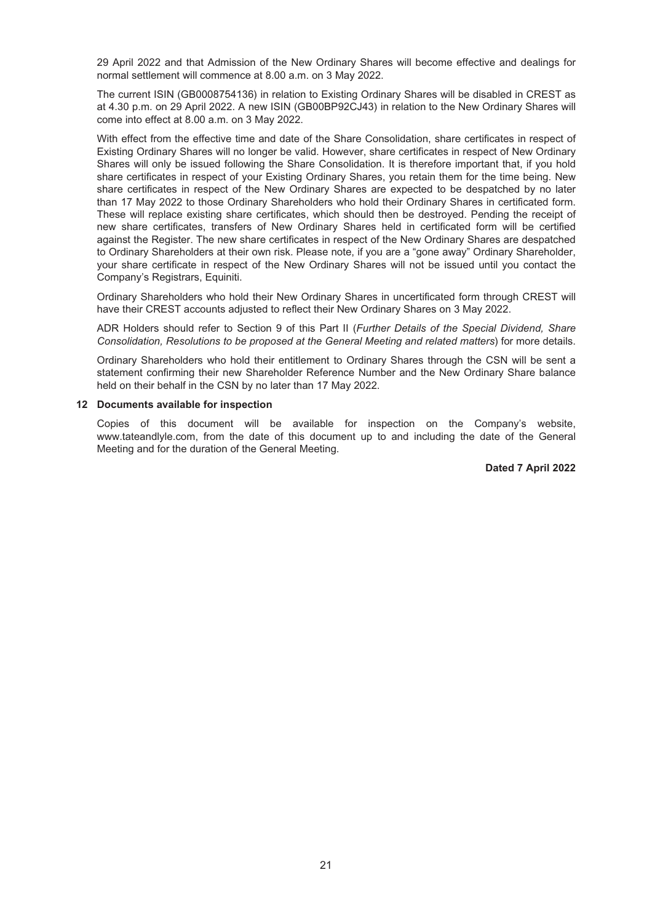29 April 2022 and that Admission of the New Ordinary Shares will become effective and dealings for normal settlement will commence at 8.00 a.m. on 3 May 2022.

The current ISIN (GB0008754136) in relation to Existing Ordinary Shares will be disabled in CREST as at 4.30 p.m. on 29 April 2022. A new ISIN (GB00BP92CJ43) in relation to the New Ordinary Shares will come into effect at 8.00 a.m. on 3 May 2022.

With effect from the effective time and date of the Share Consolidation, share certificates in respect of Existing Ordinary Shares will no longer be valid. However, share certificates in respect of New Ordinary Shares will only be issued following the Share Consolidation. It is therefore important that, if you hold share certificates in respect of your Existing Ordinary Shares, you retain them for the time being. New share certificates in respect of the New Ordinary Shares are expected to be despatched by no later than 17 May 2022 to those Ordinary Shareholders who hold their Ordinary Shares in certificated form. These will replace existing share certificates, which should then be destroyed. Pending the receipt of new share certificates, transfers of New Ordinary Shares held in certificated form will be certified against the Register. The new share certificates in respect of the New Ordinary Shares are despatched to Ordinary Shareholders at their own risk. Please note, if you are a "gone away" Ordinary Shareholder, your share certificate in respect of the New Ordinary Shares will not be issued until you contact the Company's Registrars, Equiniti.

Ordinary Shareholders who hold their New Ordinary Shares in uncertificated form through CREST will have their CREST accounts adjusted to reflect their New Ordinary Shares on 3 May 2022.

ADR Holders should refer to Section 9 of this Part II (*Further Details of the Special Dividend, Share Consolidation, Resolutions to be proposed at the General Meeting and related matters*) for more details.

Ordinary Shareholders who hold their entitlement to Ordinary Shares through the CSN will be sent a statement confirming their new Shareholder Reference Number and the New Ordinary Share balance held on their behalf in the CSN by no later than 17 May 2022.

#### **12 Documents available for inspection**

Copies of this document will be available for inspection on the Company's website, www.tateandlyle.com, from the date of this document up to and including the date of the General Meeting and for the duration of the General Meeting.

#### **Dated 7 April 2022**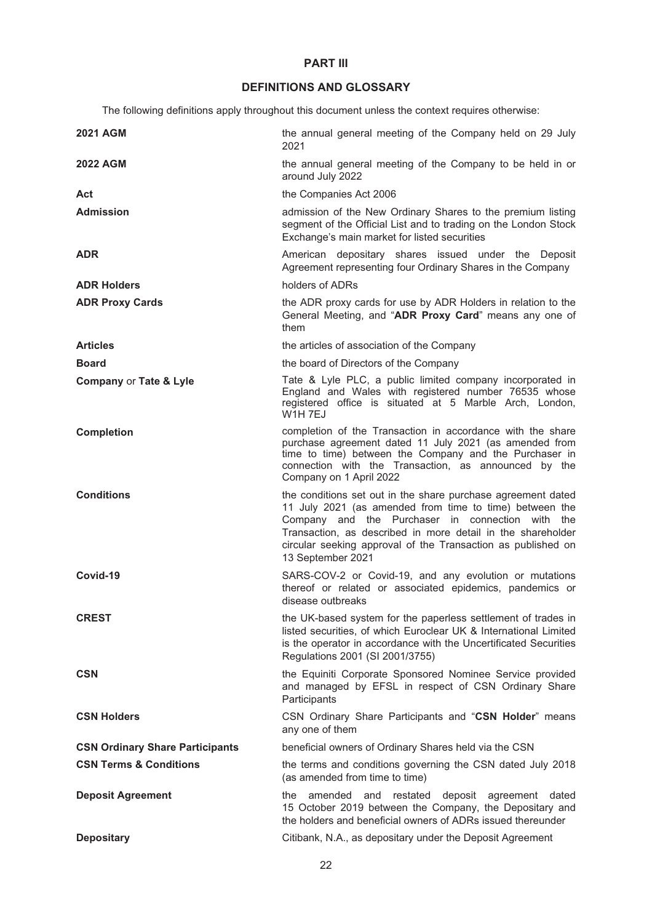## **PART III**

## **DEFINITIONS AND GLOSSARY**

The following definitions apply throughout this document unless the context requires otherwise:

<span id="page-21-0"></span>

| <b>2021 AGM</b>                        | the annual general meeting of the Company held on 29 July<br>2021                                                                                                                                                                                                                                                               |
|----------------------------------------|---------------------------------------------------------------------------------------------------------------------------------------------------------------------------------------------------------------------------------------------------------------------------------------------------------------------------------|
| <b>2022 AGM</b>                        | the annual general meeting of the Company to be held in or<br>around July 2022                                                                                                                                                                                                                                                  |
| Act                                    | the Companies Act 2006                                                                                                                                                                                                                                                                                                          |
| <b>Admission</b>                       | admission of the New Ordinary Shares to the premium listing<br>segment of the Official List and to trading on the London Stock<br>Exchange's main market for listed securities                                                                                                                                                  |
| ADR                                    | American depositary shares issued under the Deposit<br>Agreement representing four Ordinary Shares in the Company                                                                                                                                                                                                               |
| <b>ADR Holders</b>                     | holders of ADRs                                                                                                                                                                                                                                                                                                                 |
| <b>ADR Proxy Cards</b>                 | the ADR proxy cards for use by ADR Holders in relation to the<br>General Meeting, and "ADR Proxy Card" means any one of<br>them                                                                                                                                                                                                 |
| <b>Articles</b>                        | the articles of association of the Company                                                                                                                                                                                                                                                                                      |
| <b>Board</b>                           | the board of Directors of the Company                                                                                                                                                                                                                                                                                           |
| <b>Company or Tate &amp; Lyle</b>      | Tate & Lyle PLC, a public limited company incorporated in<br>England and Wales with registered number 76535 whose<br>registered office is situated at 5 Marble Arch, London,<br>W1H 7EJ                                                                                                                                         |
| <b>Completion</b>                      | completion of the Transaction in accordance with the share<br>purchase agreement dated 11 July 2021 (as amended from<br>time to time) between the Company and the Purchaser in<br>connection with the Transaction, as announced by the<br>Company on 1 April 2022                                                               |
| <b>Conditions</b>                      | the conditions set out in the share purchase agreement dated<br>11 July 2021 (as amended from time to time) between the<br>Company and the Purchaser in connection with the<br>Transaction, as described in more detail in the shareholder<br>circular seeking approval of the Transaction as published on<br>13 September 2021 |
| Covid-19                               | SARS-COV-2 or Covid-19, and any evolution or mutations<br>thereof or related or associated epidemics, pandemics or<br>disease outbreaks                                                                                                                                                                                         |
| <b>CREST</b>                           | the UK-based system for the paperless settlement of trades in<br>listed securities, of which Euroclear UK & International Limited<br>is the operator in accordance with the Uncertificated Securities<br>Regulations 2001 (SI 2001/3755)                                                                                        |
| <b>CSN</b>                             | the Equiniti Corporate Sponsored Nominee Service provided<br>and managed by EFSL in respect of CSN Ordinary Share<br>Participants                                                                                                                                                                                               |
| <b>CSN Holders</b>                     | CSN Ordinary Share Participants and "CSN Holder" means<br>any one of them                                                                                                                                                                                                                                                       |
| <b>CSN Ordinary Share Participants</b> | beneficial owners of Ordinary Shares held via the CSN                                                                                                                                                                                                                                                                           |
| <b>CSN Terms &amp; Conditions</b>      | the terms and conditions governing the CSN dated July 2018<br>(as amended from time to time)                                                                                                                                                                                                                                    |
| <b>Deposit Agreement</b>               | amended<br>and<br>restated deposit agreement dated<br>the<br>15 October 2019 between the Company, the Depositary and<br>the holders and beneficial owners of ADRs issued thereunder                                                                                                                                             |
| <b>Depositary</b>                      | Citibank, N.A., as depositary under the Deposit Agreement                                                                                                                                                                                                                                                                       |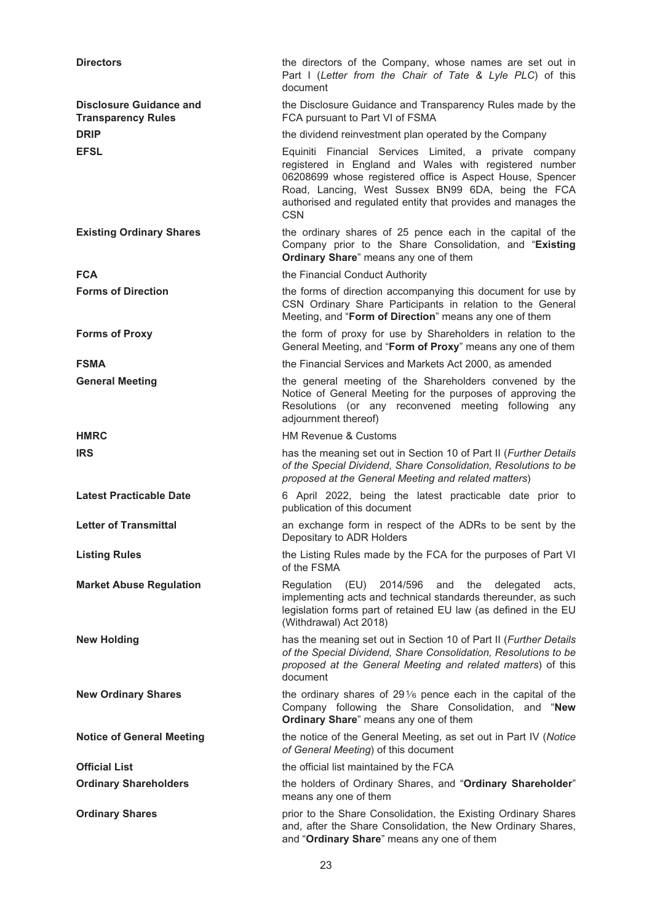| <b>Directors</b>                                            | the directors of the Company, whose names are set out in<br>Part I (Letter from the Chair of Tate & Lyle PLC) of this<br>document                                                                                                                                                                                  |
|-------------------------------------------------------------|--------------------------------------------------------------------------------------------------------------------------------------------------------------------------------------------------------------------------------------------------------------------------------------------------------------------|
| <b>Disclosure Guidance and</b><br><b>Transparency Rules</b> | the Disclosure Guidance and Transparency Rules made by the<br>FCA pursuant to Part VI of FSMA                                                                                                                                                                                                                      |
| <b>DRIP</b>                                                 | the dividend reinvestment plan operated by the Company                                                                                                                                                                                                                                                             |
| <b>EFSL</b>                                                 | Equiniti Financial Services Limited, a private company<br>registered in England and Wales with registered number<br>06208699 whose registered office is Aspect House, Spencer<br>Road, Lancing, West Sussex BN99 6DA, being the FCA<br>authorised and regulated entity that provides and manages the<br><b>CSN</b> |
| <b>Existing Ordinary Shares</b>                             | the ordinary shares of 25 pence each in the capital of the<br>Company prior to the Share Consolidation, and "Existing<br>Ordinary Share" means any one of them                                                                                                                                                     |
| <b>FCA</b>                                                  | the Financial Conduct Authority                                                                                                                                                                                                                                                                                    |
| <b>Forms of Direction</b>                                   | the forms of direction accompanying this document for use by<br>CSN Ordinary Share Participants in relation to the General<br>Meeting, and "Form of Direction" means any one of them                                                                                                                               |
| <b>Forms of Proxy</b>                                       | the form of proxy for use by Shareholders in relation to the<br>General Meeting, and "Form of Proxy" means any one of them                                                                                                                                                                                         |
| <b>FSMA</b>                                                 | the Financial Services and Markets Act 2000, as amended                                                                                                                                                                                                                                                            |
| <b>General Meeting</b>                                      | the general meeting of the Shareholders convened by the<br>Notice of General Meeting for the purposes of approving the<br>Resolutions (or any reconvened meeting following any<br>adjournment thereof)                                                                                                             |
| <b>HMRC</b>                                                 | <b>HM Revenue &amp; Customs</b>                                                                                                                                                                                                                                                                                    |
| <b>IRS</b>                                                  | has the meaning set out in Section 10 of Part II (Further Details<br>of the Special Dividend, Share Consolidation, Resolutions to be<br>proposed at the General Meeting and related matters)                                                                                                                       |
| <b>Latest Practicable Date</b>                              | 6 April 2022, being the latest practicable date prior to<br>publication of this document                                                                                                                                                                                                                           |
| <b>Letter of Transmittal</b>                                | an exchange form in respect of the ADRs to be sent by the<br>Depositary to ADR Holders                                                                                                                                                                                                                             |
| <b>Listing Rules</b>                                        | the Listing Rules made by the FCA for the purposes of Part VI<br>of the FSMA                                                                                                                                                                                                                                       |
| <b>Market Abuse Regulation</b>                              | Regulation<br>(EU) 2014/596<br>and the<br>delegated<br>acts,<br>implementing acts and technical standards thereunder, as such<br>legislation forms part of retained EU law (as defined in the EU<br>(Withdrawal) Act 2018)                                                                                         |
| <b>New Holding</b>                                          | has the meaning set out in Section 10 of Part II (Further Details<br>of the Special Dividend, Share Consolidation, Resolutions to be<br>proposed at the General Meeting and related matters) of this<br>document                                                                                                   |
| <b>New Ordinary Shares</b>                                  | the ordinary shares of $29\%$ pence each in the capital of the<br>Company following the Share Consolidation, and "New<br>Ordinary Share" means any one of them                                                                                                                                                     |
| <b>Notice of General Meeting</b>                            | the notice of the General Meeting, as set out in Part IV (Notice<br>of General Meeting) of this document                                                                                                                                                                                                           |
| <b>Official List</b>                                        | the official list maintained by the FCA                                                                                                                                                                                                                                                                            |
| <b>Ordinary Shareholders</b>                                | the holders of Ordinary Shares, and "Ordinary Shareholder"<br>means any one of them                                                                                                                                                                                                                                |
| <b>Ordinary Shares</b>                                      | prior to the Share Consolidation, the Existing Ordinary Shares<br>and, after the Share Consolidation, the New Ordinary Shares,<br>and "Ordinary Share" means any one of them                                                                                                                                       |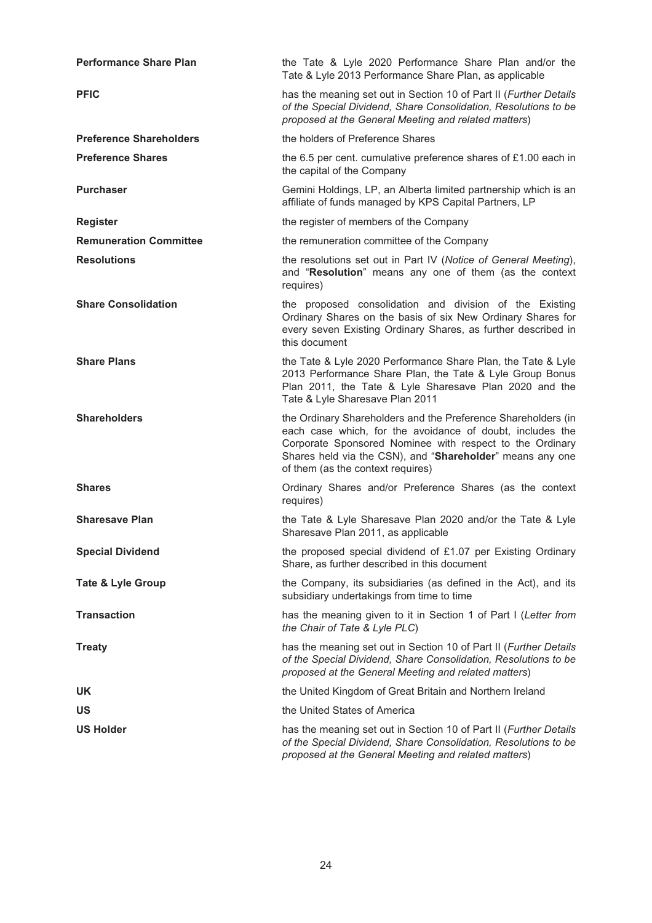| <b>Performance Share Plan</b>  | the Tate & Lyle 2020 Performance Share Plan and/or the<br>Tate & Lyle 2013 Performance Share Plan, as applicable                                                                                                                                                                         |
|--------------------------------|------------------------------------------------------------------------------------------------------------------------------------------------------------------------------------------------------------------------------------------------------------------------------------------|
| <b>PFIC</b>                    | has the meaning set out in Section 10 of Part II (Further Details<br>of the Special Dividend, Share Consolidation, Resolutions to be<br>proposed at the General Meeting and related matters)                                                                                             |
| <b>Preference Shareholders</b> | the holders of Preference Shares                                                                                                                                                                                                                                                         |
| <b>Preference Shares</b>       | the 6.5 per cent. cumulative preference shares of £1.00 each in<br>the capital of the Company                                                                                                                                                                                            |
| <b>Purchaser</b>               | Gemini Holdings, LP, an Alberta limited partnership which is an<br>affiliate of funds managed by KPS Capital Partners, LP                                                                                                                                                                |
| <b>Register</b>                | the register of members of the Company                                                                                                                                                                                                                                                   |
| <b>Remuneration Committee</b>  | the remuneration committee of the Company                                                                                                                                                                                                                                                |
| <b>Resolutions</b>             | the resolutions set out in Part IV (Notice of General Meeting),<br>and "Resolution" means any one of them (as the context<br>requires)                                                                                                                                                   |
| <b>Share Consolidation</b>     | the proposed consolidation and division of the Existing<br>Ordinary Shares on the basis of six New Ordinary Shares for<br>every seven Existing Ordinary Shares, as further described in<br>this document                                                                                 |
| <b>Share Plans</b>             | the Tate & Lyle 2020 Performance Share Plan, the Tate & Lyle<br>2013 Performance Share Plan, the Tate & Lyle Group Bonus<br>Plan 2011, the Tate & Lyle Sharesave Plan 2020 and the<br>Tate & Lyle Sharesave Plan 2011                                                                    |
| <b>Shareholders</b>            | the Ordinary Shareholders and the Preference Shareholders (in<br>each case which, for the avoidance of doubt, includes the<br>Corporate Sponsored Nominee with respect to the Ordinary<br>Shares held via the CSN), and "Shareholder" means any one<br>of them (as the context requires) |
| <b>Shares</b>                  | Ordinary Shares and/or Preference Shares (as the context<br>requires)                                                                                                                                                                                                                    |
| <b>Sharesave Plan</b>          | the Tate & Lyle Sharesave Plan 2020 and/or the Tate & Lyle<br>Sharesave Plan 2011, as applicable                                                                                                                                                                                         |
| <b>Special Dividend</b>        | the proposed special dividend of £1.07 per Existing Ordinary<br>Share, as further described in this document                                                                                                                                                                             |
| <b>Tate &amp; Lyle Group</b>   | the Company, its subsidiaries (as defined in the Act), and its<br>subsidiary undertakings from time to time                                                                                                                                                                              |
| <b>Transaction</b>             | has the meaning given to it in Section 1 of Part I (Letter from<br>the Chair of Tate & Lyle PLC)                                                                                                                                                                                         |
| <b>Treaty</b>                  | has the meaning set out in Section 10 of Part II (Further Details<br>of the Special Dividend, Share Consolidation, Resolutions to be<br>proposed at the General Meeting and related matters)                                                                                             |
| UK                             | the United Kingdom of Great Britain and Northern Ireland                                                                                                                                                                                                                                 |
| <b>US</b>                      | the United States of America                                                                                                                                                                                                                                                             |
| <b>US Holder</b>               | has the meaning set out in Section 10 of Part II (Further Details<br>of the Special Dividend, Share Consolidation, Resolutions to be<br>proposed at the General Meeting and related matters)                                                                                             |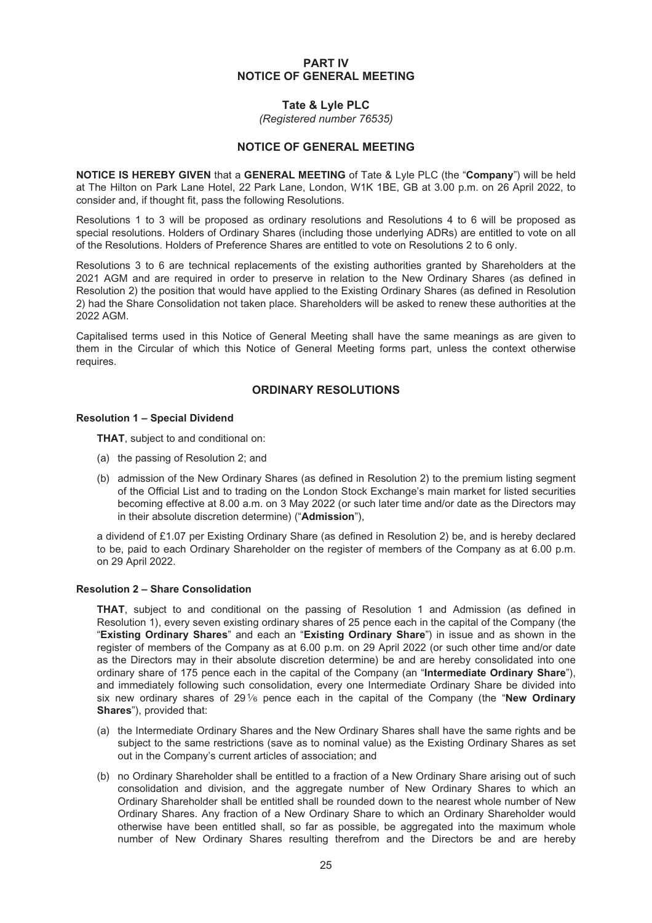#### **PART IV NOTICE OF GENERAL MEETING**

#### **Tate & Lyle PLC**

*(Registered number 76535)*

#### **NOTICE OF GENERAL MEETING**

<span id="page-24-0"></span>**NOTICE IS HEREBY GIVEN** that a **GENERAL MEETING** of Tate & Lyle PLC (the "**Company**") will be held at The Hilton on Park Lane Hotel, 22 Park Lane, London, W1K 1BE, GB at 3.00 p.m. on 26 April 2022, to consider and, if thought fit, pass the following Resolutions.

Resolutions 1 to 3 will be proposed as ordinary resolutions and Resolutions 4 to 6 will be proposed as special resolutions. Holders of Ordinary Shares (including those underlying ADRs) are entitled to vote on all of the Resolutions. Holders of Preference Shares are entitled to vote on Resolutions 2 to 6 only.

Resolutions 3 to 6 are technical replacements of the existing authorities granted by Shareholders at the 2021 AGM and are required in order to preserve in relation to the New Ordinary Shares (as defined in Resolution 2) the position that would have applied to the Existing Ordinary Shares (as defined in Resolution 2) had the Share Consolidation not taken place. Shareholders will be asked to renew these authorities at the 2022 AGM.

Capitalised terms used in this Notice of General Meeting shall have the same meanings as are given to them in the Circular of which this Notice of General Meeting forms part, unless the context otherwise requires.

### **ORDINARY RESOLUTIONS**

#### **Resolution 1 – Special Dividend**

**THAT**, subject to and conditional on:

- (a) the passing of Resolution 2; and
- (b) admission of the New Ordinary Shares (as defined in Resolution 2) to the premium listing segment of the Official List and to trading on the London Stock Exchange's main market for listed securities becoming effective at 8.00 a.m. on 3 May 2022 (or such later time and/or date as the Directors may in their absolute discretion determine) ("**Admission**"),

a dividend of £1.07 per Existing Ordinary Share (as defined in Resolution 2) be, and is hereby declared to be, paid to each Ordinary Shareholder on the register of members of the Company as at 6.00 p.m. on 29 April 2022.

#### **Resolution 2 – Share Consolidation**

**THAT**, subject to and conditional on the passing of Resolution 1 and Admission (as defined in Resolution 1), every seven existing ordinary shares of 25 pence each in the capital of the Company (the "**Existing Ordinary Shares**" and each an "**Existing Ordinary Share**") in issue and as shown in the register of members of the Company as at 6.00 p.m. on 29 April 2022 (or such other time and/or date as the Directors may in their absolute discretion determine) be and are hereby consolidated into one ordinary share of 175 pence each in the capital of the Company (an "**Intermediate Ordinary Share**"), and immediately following such consolidation, every one Intermediate Ordinary Share be divided into six new ordinary shares of 291⁄6 pence each in the capital of the Company (the "**New Ordinary Shares**"), provided that:

- (a) the Intermediate Ordinary Shares and the New Ordinary Shares shall have the same rights and be subject to the same restrictions (save as to nominal value) as the Existing Ordinary Shares as set out in the Company's current articles of association; and
- (b) no Ordinary Shareholder shall be entitled to a fraction of a New Ordinary Share arising out of such consolidation and division, and the aggregate number of New Ordinary Shares to which an Ordinary Shareholder shall be entitled shall be rounded down to the nearest whole number of New Ordinary Shares. Any fraction of a New Ordinary Share to which an Ordinary Shareholder would otherwise have been entitled shall, so far as possible, be aggregated into the maximum whole number of New Ordinary Shares resulting therefrom and the Directors be and are hereby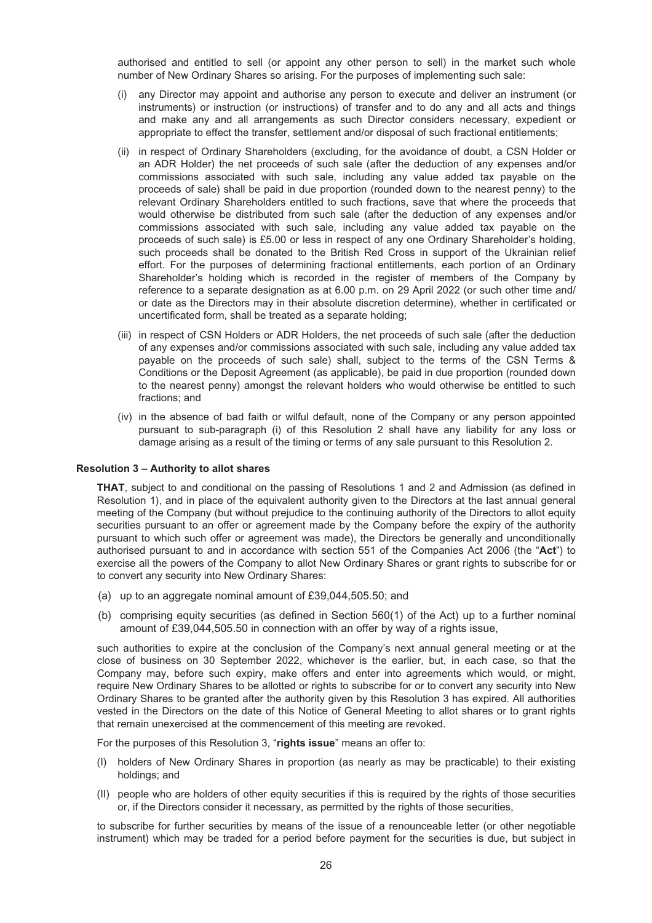authorised and entitled to sell (or appoint any other person to sell) in the market such whole number of New Ordinary Shares so arising. For the purposes of implementing such sale:

- (i) any Director may appoint and authorise any person to execute and deliver an instrument (or instruments) or instruction (or instructions) of transfer and to do any and all acts and things and make any and all arrangements as such Director considers necessary, expedient or appropriate to effect the transfer, settlement and/or disposal of such fractional entitlements;
- (ii) in respect of Ordinary Shareholders (excluding, for the avoidance of doubt, a CSN Holder or an ADR Holder) the net proceeds of such sale (after the deduction of any expenses and/or commissions associated with such sale, including any value added tax payable on the proceeds of sale) shall be paid in due proportion (rounded down to the nearest penny) to the relevant Ordinary Shareholders entitled to such fractions, save that where the proceeds that would otherwise be distributed from such sale (after the deduction of any expenses and/or commissions associated with such sale, including any value added tax payable on the proceeds of such sale) is £5.00 or less in respect of any one Ordinary Shareholder's holding, such proceeds shall be donated to the British Red Cross in support of the Ukrainian relief effort. For the purposes of determining fractional entitlements, each portion of an Ordinary Shareholder's holding which is recorded in the register of members of the Company by reference to a separate designation as at 6.00 p.m. on 29 April 2022 (or such other time and/ or date as the Directors may in their absolute discretion determine), whether in certificated or uncertificated form, shall be treated as a separate holding;
- (iii) in respect of CSN Holders or ADR Holders, the net proceeds of such sale (after the deduction of any expenses and/or commissions associated with such sale, including any value added tax payable on the proceeds of such sale) shall, subject to the terms of the CSN Terms & Conditions or the Deposit Agreement (as applicable), be paid in due proportion (rounded down to the nearest penny) amongst the relevant holders who would otherwise be entitled to such fractions; and
- (iv) in the absence of bad faith or wilful default, none of the Company or any person appointed pursuant to sub-paragraph (i) of this Resolution 2 shall have any liability for any loss or damage arising as a result of the timing or terms of any sale pursuant to this Resolution 2.

#### **Resolution 3 – Authority to allot shares**

**THAT**, subject to and conditional on the passing of Resolutions 1 and 2 and Admission (as defined in Resolution 1), and in place of the equivalent authority given to the Directors at the last annual general meeting of the Company (but without prejudice to the continuing authority of the Directors to allot equity securities pursuant to an offer or agreement made by the Company before the expiry of the authority pursuant to which such offer or agreement was made), the Directors be generally and unconditionally authorised pursuant to and in accordance with section 551 of the Companies Act 2006 (the "**Act**") to exercise all the powers of the Company to allot New Ordinary Shares or grant rights to subscribe for or to convert any security into New Ordinary Shares:

- (a) up to an aggregate nominal amount of £39,044,505.50; and
- (b) comprising equity securities (as defined in Section 560(1) of the Act) up to a further nominal amount of £39,044,505.50 in connection with an offer by way of a rights issue,

such authorities to expire at the conclusion of the Company's next annual general meeting or at the close of business on 30 September 2022, whichever is the earlier, but, in each case, so that the Company may, before such expiry, make offers and enter into agreements which would, or might, require New Ordinary Shares to be allotted or rights to subscribe for or to convert any security into New Ordinary Shares to be granted after the authority given by this Resolution 3 has expired. All authorities vested in the Directors on the date of this Notice of General Meeting to allot shares or to grant rights that remain unexercised at the commencement of this meeting are revoked.

For the purposes of this Resolution 3, "**rights issue**" means an offer to:

- (I) holders of New Ordinary Shares in proportion (as nearly as may be practicable) to their existing holdings; and
- (II) people who are holders of other equity securities if this is required by the rights of those securities or, if the Directors consider it necessary, as permitted by the rights of those securities,

to subscribe for further securities by means of the issue of a renounceable letter (or other negotiable instrument) which may be traded for a period before payment for the securities is due, but subject in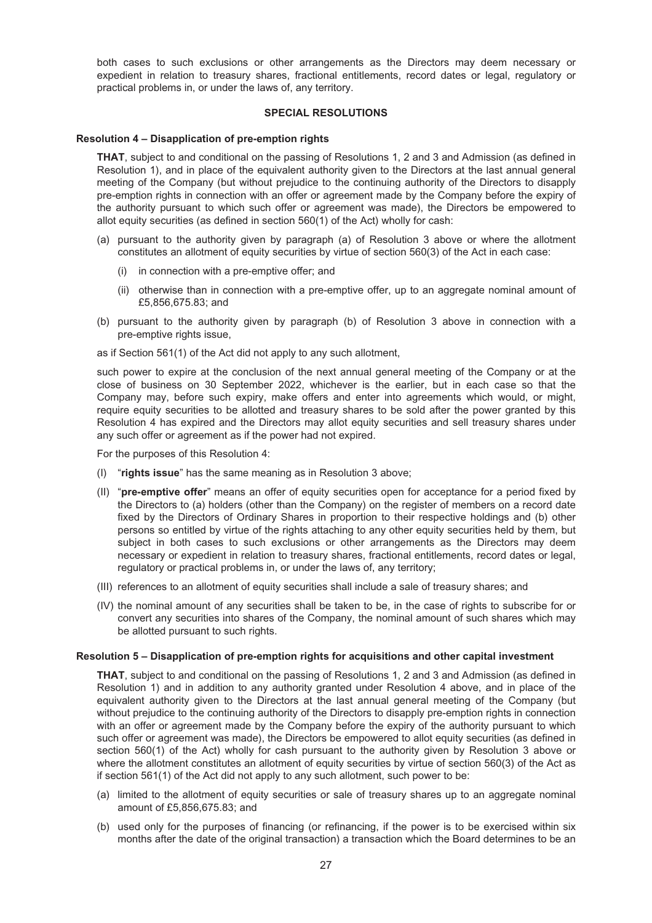both cases to such exclusions or other arrangements as the Directors may deem necessary or expedient in relation to treasury shares, fractional entitlements, record dates or legal, regulatory or practical problems in, or under the laws of, any territory.

#### **SPECIAL RESOLUTIONS**

#### **Resolution 4 – Disapplication of pre-emption rights**

**THAT**, subject to and conditional on the passing of Resolutions 1, 2 and 3 and Admission (as defined in Resolution 1), and in place of the equivalent authority given to the Directors at the last annual general meeting of the Company (but without prejudice to the continuing authority of the Directors to disapply pre-emption rights in connection with an offer or agreement made by the Company before the expiry of the authority pursuant to which such offer or agreement was made), the Directors be empowered to allot equity securities (as defined in section 560(1) of the Act) wholly for cash:

- (a) pursuant to the authority given by paragraph (a) of Resolution 3 above or where the allotment constitutes an allotment of equity securities by virtue of section 560(3) of the Act in each case:
	- (i) in connection with a pre-emptive offer; and
	- (ii) otherwise than in connection with a pre-emptive offer, up to an aggregate nominal amount of £5,856,675.83; and
- (b) pursuant to the authority given by paragraph (b) of Resolution 3 above in connection with a pre-emptive rights issue,
- as if Section 561(1) of the Act did not apply to any such allotment,

such power to expire at the conclusion of the next annual general meeting of the Company or at the close of business on 30 September 2022, whichever is the earlier, but in each case so that the Company may, before such expiry, make offers and enter into agreements which would, or might, require equity securities to be allotted and treasury shares to be sold after the power granted by this Resolution 4 has expired and the Directors may allot equity securities and sell treasury shares under any such offer or agreement as if the power had not expired.

For the purposes of this Resolution 4:

- (I) "**rights issue**" has the same meaning as in Resolution 3 above;
- (II) "**pre-emptive offer**" means an offer of equity securities open for acceptance for a period fixed by the Directors to (a) holders (other than the Company) on the register of members on a record date fixed by the Directors of Ordinary Shares in proportion to their respective holdings and (b) other persons so entitled by virtue of the rights attaching to any other equity securities held by them, but subject in both cases to such exclusions or other arrangements as the Directors may deem necessary or expedient in relation to treasury shares, fractional entitlements, record dates or legal, regulatory or practical problems in, or under the laws of, any territory;
- (III) references to an allotment of equity securities shall include a sale of treasury shares; and
- (IV) the nominal amount of any securities shall be taken to be, in the case of rights to subscribe for or convert any securities into shares of the Company, the nominal amount of such shares which may be allotted pursuant to such rights.

#### **Resolution 5 – Disapplication of pre-emption rights for acquisitions and other capital investment**

**THAT**, subject to and conditional on the passing of Resolutions 1, 2 and 3 and Admission (as defined in Resolution 1) and in addition to any authority granted under Resolution 4 above, and in place of the equivalent authority given to the Directors at the last annual general meeting of the Company (but without prejudice to the continuing authority of the Directors to disapply pre-emption rights in connection with an offer or agreement made by the Company before the expiry of the authority pursuant to which such offer or agreement was made), the Directors be empowered to allot equity securities (as defined in section 560(1) of the Act) wholly for cash pursuant to the authority given by Resolution 3 above or where the allotment constitutes an allotment of equity securities by virtue of section 560(3) of the Act as if section 561(1) of the Act did not apply to any such allotment, such power to be:

- (a) limited to the allotment of equity securities or sale of treasury shares up to an aggregate nominal amount of £5,856,675.83; and
- (b) used only for the purposes of financing (or refinancing, if the power is to be exercised within six months after the date of the original transaction) a transaction which the Board determines to be an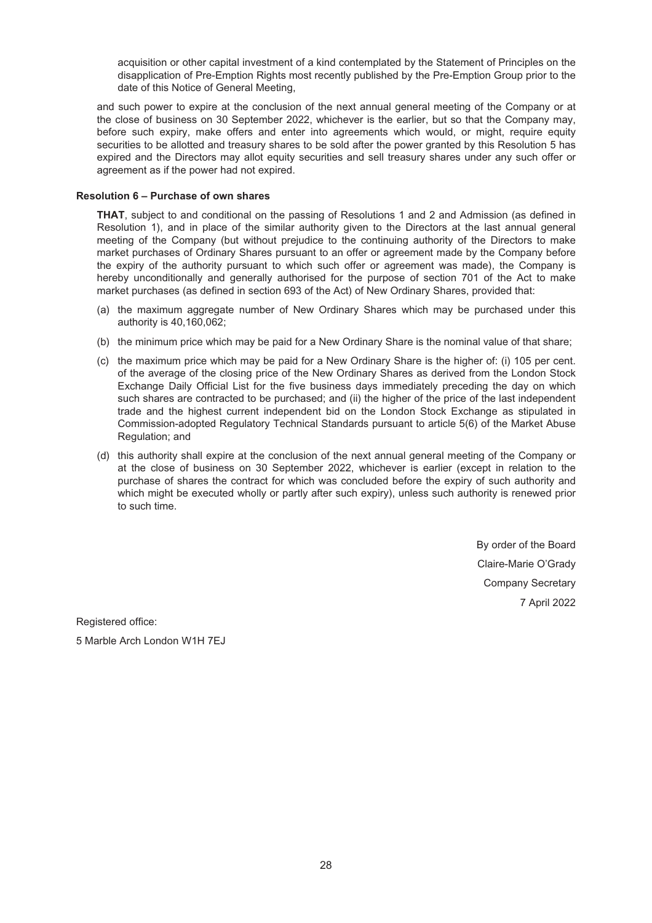acquisition or other capital investment of a kind contemplated by the Statement of Principles on the disapplication of Pre-Emption Rights most recently published by the Pre-Emption Group prior to the date of this Notice of General Meeting,

and such power to expire at the conclusion of the next annual general meeting of the Company or at the close of business on 30 September 2022, whichever is the earlier, but so that the Company may, before such expiry, make offers and enter into agreements which would, or might, require equity securities to be allotted and treasury shares to be sold after the power granted by this Resolution 5 has expired and the Directors may allot equity securities and sell treasury shares under any such offer or agreement as if the power had not expired.

#### **Resolution 6 – Purchase of own shares**

**THAT**, subject to and conditional on the passing of Resolutions 1 and 2 and Admission (as defined in Resolution 1), and in place of the similar authority given to the Directors at the last annual general meeting of the Company (but without prejudice to the continuing authority of the Directors to make market purchases of Ordinary Shares pursuant to an offer or agreement made by the Company before the expiry of the authority pursuant to which such offer or agreement was made), the Company is hereby unconditionally and generally authorised for the purpose of section 701 of the Act to make market purchases (as defined in section 693 of the Act) of New Ordinary Shares, provided that:

- (a) the maximum aggregate number of New Ordinary Shares which may be purchased under this authority is 40,160,062;
- (b) the minimum price which may be paid for a New Ordinary Share is the nominal value of that share;
- (c) the maximum price which may be paid for a New Ordinary Share is the higher of: (i) 105 per cent. of the average of the closing price of the New Ordinary Shares as derived from the London Stock Exchange Daily Official List for the five business days immediately preceding the day on which such shares are contracted to be purchased; and (ii) the higher of the price of the last independent trade and the highest current independent bid on the London Stock Exchange as stipulated in Commission-adopted Regulatory Technical Standards pursuant to article 5(6) of the Market Abuse Regulation; and
- (d) this authority shall expire at the conclusion of the next annual general meeting of the Company or at the close of business on 30 September 2022, whichever is earlier (except in relation to the purchase of shares the contract for which was concluded before the expiry of such authority and which might be executed wholly or partly after such expiry), unless such authority is renewed prior to such time.

By order of the Board Claire-Marie O'Grady Company Secretary 7 April 2022

Registered office: 5 Marble Arch London W1H 7EJ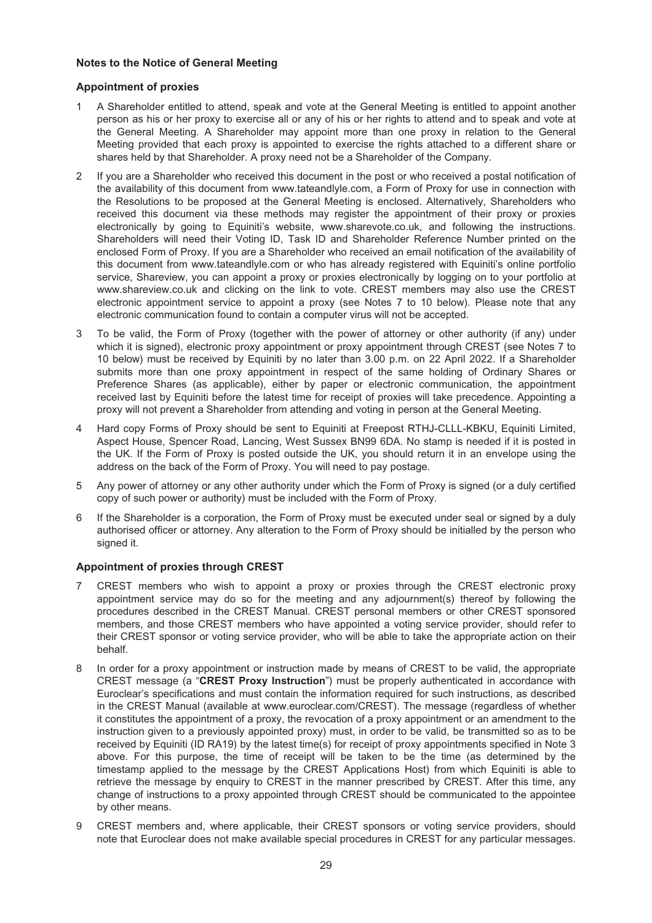### **Notes to the Notice of General Meeting**

## **Appointment of proxies**

- 1 A Shareholder entitled to attend, speak and vote at the General Meeting is entitled to appoint another person as his or her proxy to exercise all or any of his or her rights to attend and to speak and vote at the General Meeting. A Shareholder may appoint more than one proxy in relation to the General Meeting provided that each proxy is appointed to exercise the rights attached to a different share or shares held by that Shareholder. A proxy need not be a Shareholder of the Company.
- 2 If you are a Shareholder who received this document in the post or who received a postal notification of the availability of this document from www.tateandlyle.com, a Form of Proxy for use in connection with the Resolutions to be proposed at the General Meeting is enclosed. Alternatively, Shareholders who received this document via these methods may register the appointment of their proxy or proxies electronically by going to Equiniti's website, www.sharevote.co.uk, and following the instructions. Shareholders will need their Voting ID, Task ID and Shareholder Reference Number printed on the enclosed Form of Proxy. If you are a Shareholder who received an email notification of the availability of this document from www.tateandlyle.com or who has already registered with Equiniti's online portfolio service, Shareview, you can appoint a proxy or proxies electronically by logging on to your portfolio at www.shareview.co.uk and clicking on the link to vote. CREST members may also use the CREST electronic appointment service to appoint a proxy (see Notes 7 to 10 below). Please note that any electronic communication found to contain a computer virus will not be accepted.
- 3 To be valid, the Form of Proxy (together with the power of attorney or other authority (if any) under which it is signed), electronic proxy appointment or proxy appointment through CREST (see Notes 7 to 10 below) must be received by Equiniti by no later than 3.00 p.m. on 22 April 2022. If a Shareholder submits more than one proxy appointment in respect of the same holding of Ordinary Shares or Preference Shares (as applicable), either by paper or electronic communication, the appointment received last by Equiniti before the latest time for receipt of proxies will take precedence. Appointing a proxy will not prevent a Shareholder from attending and voting in person at the General Meeting.
- 4 Hard copy Forms of Proxy should be sent to Equiniti at Freepost RTHJ-CLLL-KBKU, Equiniti Limited, Aspect House, Spencer Road, Lancing, West Sussex BN99 6DA. No stamp is needed if it is posted in the UK. If the Form of Proxy is posted outside the UK, you should return it in an envelope using the address on the back of the Form of Proxy. You will need to pay postage.
- 5 Any power of attorney or any other authority under which the Form of Proxy is signed (or a duly certified copy of such power or authority) must be included with the Form of Proxy.
- 6 If the Shareholder is a corporation, the Form of Proxy must be executed under seal or signed by a duly authorised officer or attorney. Any alteration to the Form of Proxy should be initialled by the person who signed it.

## **Appointment of proxies through CREST**

- 7 CREST members who wish to appoint a proxy or proxies through the CREST electronic proxy appointment service may do so for the meeting and any adjournment(s) thereof by following the procedures described in the CREST Manual. CREST personal members or other CREST sponsored members, and those CREST members who have appointed a voting service provider, should refer to their CREST sponsor or voting service provider, who will be able to take the appropriate action on their behalf.
- 8 In order for a proxy appointment or instruction made by means of CREST to be valid, the appropriate CREST message (a "**CREST Proxy Instruction**") must be properly authenticated in accordance with Euroclear's specifications and must contain the information required for such instructions, as described in the CREST Manual (available at www.euroclear.com/CREST). The message (regardless of whether it constitutes the appointment of a proxy, the revocation of a proxy appointment or an amendment to the instruction given to a previously appointed proxy) must, in order to be valid, be transmitted so as to be received by Equiniti (ID RA19) by the latest time(s) for receipt of proxy appointments specified in Note 3 above. For this purpose, the time of receipt will be taken to be the time (as determined by the timestamp applied to the message by the CREST Applications Host) from which Equiniti is able to retrieve the message by enquiry to CREST in the manner prescribed by CREST. After this time, any change of instructions to a proxy appointed through CREST should be communicated to the appointee by other means.
- 9 CREST members and, where applicable, their CREST sponsors or voting service providers, should note that Euroclear does not make available special procedures in CREST for any particular messages.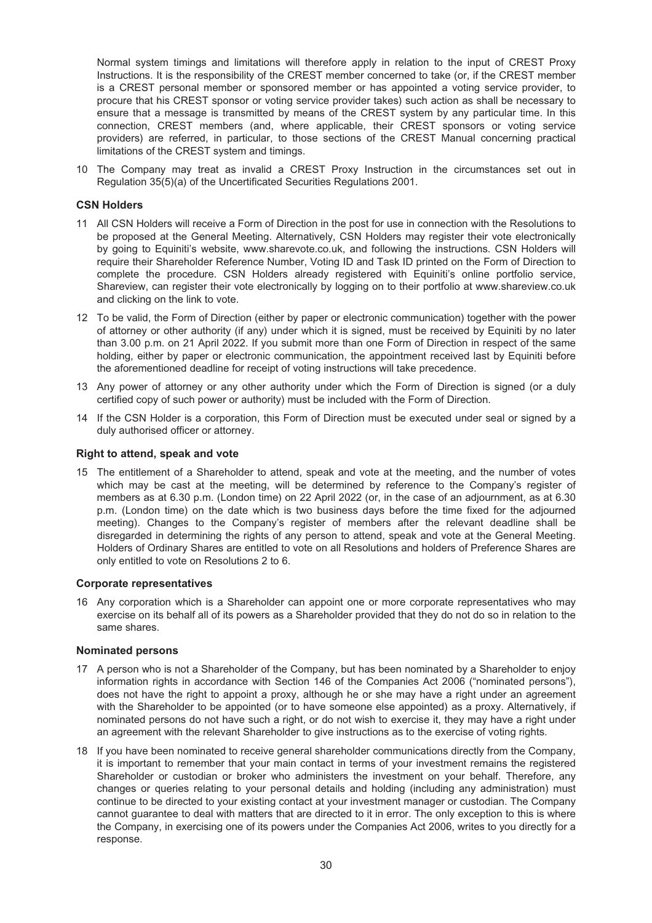Normal system timings and limitations will therefore apply in relation to the input of CREST Proxy Instructions. It is the responsibility of the CREST member concerned to take (or, if the CREST member is a CREST personal member or sponsored member or has appointed a voting service provider, to procure that his CREST sponsor or voting service provider takes) such action as shall be necessary to ensure that a message is transmitted by means of the CREST system by any particular time. In this connection, CREST members (and, where applicable, their CREST sponsors or voting service providers) are referred, in particular, to those sections of the CREST Manual concerning practical limitations of the CREST system and timings.

10 The Company may treat as invalid a CREST Proxy Instruction in the circumstances set out in Regulation 35(5)(a) of the Uncertificated Securities Regulations 2001.

#### **CSN Holders**

- 11 All CSN Holders will receive a Form of Direction in the post for use in connection with the Resolutions to be proposed at the General Meeting. Alternatively, CSN Holders may register their vote electronically by going to Equiniti's website, www.sharevote.co.uk, and following the instructions. CSN Holders will require their Shareholder Reference Number, Voting ID and Task ID printed on the Form of Direction to complete the procedure. CSN Holders already registered with Equiniti's online portfolio service, Shareview, can register their vote electronically by logging on to their portfolio at www.shareview.co.uk and clicking on the link to vote.
- 12 To be valid, the Form of Direction (either by paper or electronic communication) together with the power of attorney or other authority (if any) under which it is signed, must be received by Equiniti by no later than 3.00 p.m. on 21 April 2022. If you submit more than one Form of Direction in respect of the same holding, either by paper or electronic communication, the appointment received last by Equiniti before the aforementioned deadline for receipt of voting instructions will take precedence.
- 13 Any power of attorney or any other authority under which the Form of Direction is signed (or a duly certified copy of such power or authority) must be included with the Form of Direction.
- 14 If the CSN Holder is a corporation, this Form of Direction must be executed under seal or signed by a duly authorised officer or attorney.

#### **Right to attend, speak and vote**

15 The entitlement of a Shareholder to attend, speak and vote at the meeting, and the number of votes which may be cast at the meeting, will be determined by reference to the Company's register of members as at 6.30 p.m. (London time) on 22 April 2022 (or, in the case of an adjournment, as at 6.30 p.m. (London time) on the date which is two business days before the time fixed for the adjourned meeting). Changes to the Company's register of members after the relevant deadline shall be disregarded in determining the rights of any person to attend, speak and vote at the General Meeting. Holders of Ordinary Shares are entitled to vote on all Resolutions and holders of Preference Shares are only entitled to vote on Resolutions 2 to 6.

#### **Corporate representatives**

16 Any corporation which is a Shareholder can appoint one or more corporate representatives who may exercise on its behalf all of its powers as a Shareholder provided that they do not do so in relation to the same shares.

#### **Nominated persons**

- 17 A person who is not a Shareholder of the Company, but has been nominated by a Shareholder to enjoy information rights in accordance with Section 146 of the Companies Act 2006 ("nominated persons"), does not have the right to appoint a proxy, although he or she may have a right under an agreement with the Shareholder to be appointed (or to have someone else appointed) as a proxy. Alternatively, if nominated persons do not have such a right, or do not wish to exercise it, they may have a right under an agreement with the relevant Shareholder to give instructions as to the exercise of voting rights.
- 18 If you have been nominated to receive general shareholder communications directly from the Company, it is important to remember that your main contact in terms of your investment remains the registered Shareholder or custodian or broker who administers the investment on your behalf. Therefore, any changes or queries relating to your personal details and holding (including any administration) must continue to be directed to your existing contact at your investment manager or custodian. The Company cannot guarantee to deal with matters that are directed to it in error. The only exception to this is where the Company, in exercising one of its powers under the Companies Act 2006, writes to you directly for a response.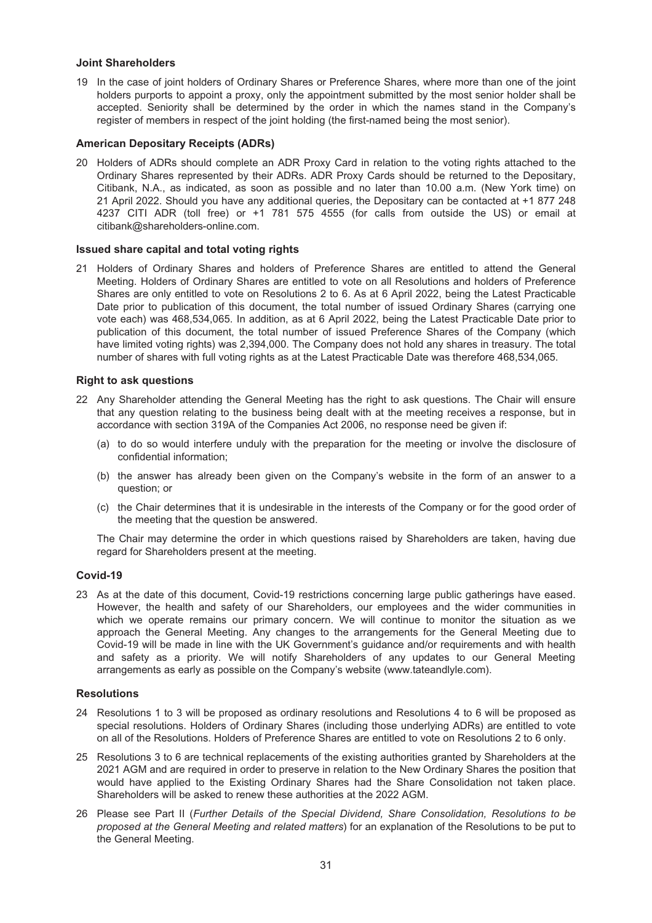#### **Joint Shareholders**

19 In the case of joint holders of Ordinary Shares or Preference Shares, where more than one of the joint holders purports to appoint a proxy, only the appointment submitted by the most senior holder shall be accepted. Seniority shall be determined by the order in which the names stand in the Company's register of members in respect of the joint holding (the first-named being the most senior).

#### **American Depositary Receipts (ADRs)**

20 Holders of ADRs should complete an ADR Proxy Card in relation to the voting rights attached to the Ordinary Shares represented by their ADRs. ADR Proxy Cards should be returned to the Depositary, Citibank, N.A., as indicated, as soon as possible and no later than 10.00 a.m. (New York time) on 21 April 2022. Should you have any additional queries, the Depositary can be contacted at +1 877 248 4237 CITI ADR (toll free) or +1 781 575 4555 (for calls from outside the US) or email at citibank@shareholders-online.com.

#### **Issued share capital and total voting rights**

21 Holders of Ordinary Shares and holders of Preference Shares are entitled to attend the General Meeting. Holders of Ordinary Shares are entitled to vote on all Resolutions and holders of Preference Shares are only entitled to vote on Resolutions 2 to 6. As at 6 April 2022, being the Latest Practicable Date prior to publication of this document, the total number of issued Ordinary Shares (carrying one vote each) was 468,534,065. In addition, as at 6 April 2022, being the Latest Practicable Date prior to publication of this document, the total number of issued Preference Shares of the Company (which have limited voting rights) was 2,394,000. The Company does not hold any shares in treasury. The total number of shares with full voting rights as at the Latest Practicable Date was therefore 468,534,065.

#### **Right to ask questions**

- 22 Any Shareholder attending the General Meeting has the right to ask questions. The Chair will ensure that any question relating to the business being dealt with at the meeting receives a response, but in accordance with section 319A of the Companies Act 2006, no response need be given if:
	- (a) to do so would interfere unduly with the preparation for the meeting or involve the disclosure of confidential information;
	- (b) the answer has already been given on the Company's website in the form of an answer to a question; or
	- (c) the Chair determines that it is undesirable in the interests of the Company or for the good order of the meeting that the question be answered.

The Chair may determine the order in which questions raised by Shareholders are taken, having due regard for Shareholders present at the meeting.

#### **Covid-19**

23 As at the date of this document, Covid-19 restrictions concerning large public gatherings have eased. However, the health and safety of our Shareholders, our employees and the wider communities in which we operate remains our primary concern. We will continue to monitor the situation as we approach the General Meeting. Any changes to the arrangements for the General Meeting due to Covid-19 will be made in line with the UK Government's guidance and/or requirements and with health and safety as a priority. We will notify Shareholders of any updates to our General Meeting arrangements as early as possible on the Company's website (www.tateandlyle.com).

## **Resolutions**

- 24 Resolutions 1 to 3 will be proposed as ordinary resolutions and Resolutions 4 to 6 will be proposed as special resolutions. Holders of Ordinary Shares (including those underlying ADRs) are entitled to vote on all of the Resolutions. Holders of Preference Shares are entitled to vote on Resolutions 2 to 6 only.
- 25 Resolutions 3 to 6 are technical replacements of the existing authorities granted by Shareholders at the 2021 AGM and are required in order to preserve in relation to the New Ordinary Shares the position that would have applied to the Existing Ordinary Shares had the Share Consolidation not taken place. Shareholders will be asked to renew these authorities at the 2022 AGM.
- 26 Please see Part II (*Further Details of the Special Dividend, Share Consolidation, Resolutions to be proposed at the General Meeting and related matters*) for an explanation of the Resolutions to be put to the General Meeting.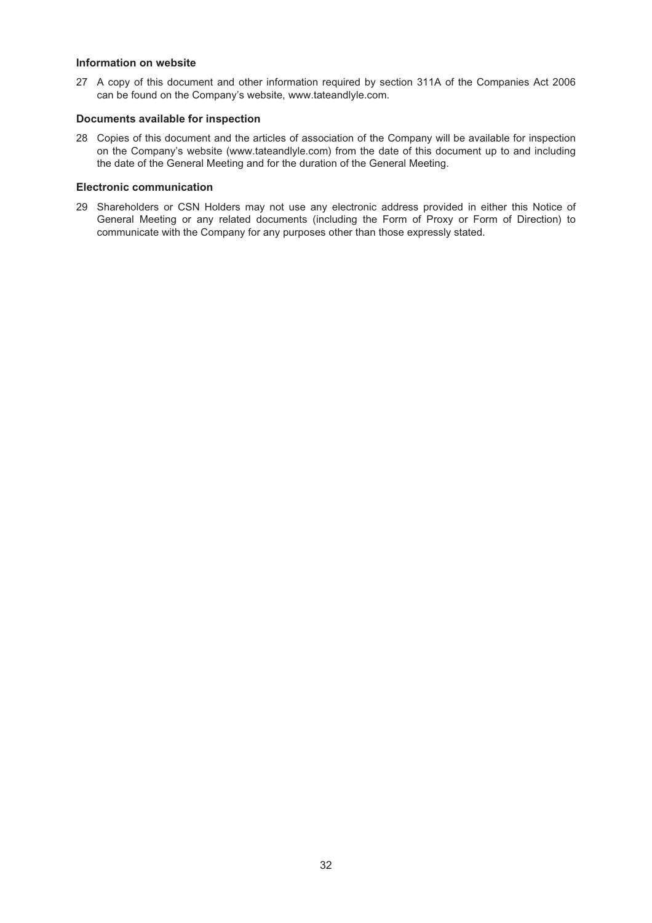#### **Information on website**

27 A copy of this document and other information required by section 311A of the Companies Act 2006 can be found on the Company's website, www.tateandlyle.com.

## **Documents available for inspection**

28 Copies of this document and the articles of association of the Company will be available for inspection on the Company's website (www.tateandlyle.com) from the date of this document up to and including the date of the General Meeting and for the duration of the General Meeting.

#### **Electronic communication**

29 Shareholders or CSN Holders may not use any electronic address provided in either this Notice of General Meeting or any related documents (including the Form of Proxy or Form of Direction) to communicate with the Company for any purposes other than those expressly stated.